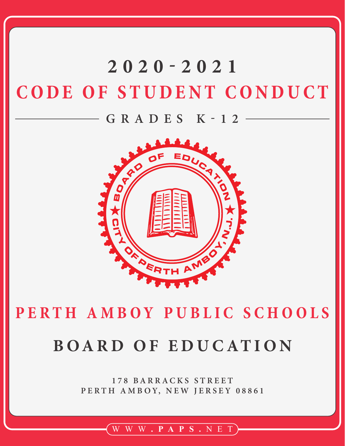# **CODE OF STUDENT CONDUCT 2020-2021**

# **GRADES K-12**



# P E R T H A M B O Y P U B L I C S C H O O L S

# **BOARD OF EDUCATION**

**178 BARRACKS STREET** PERTH AMBOY, NEW JERSEY 08861

# WWW **.PAPS.** NET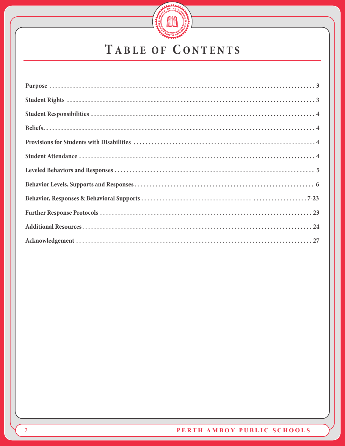

# TABLE OF CONTENTS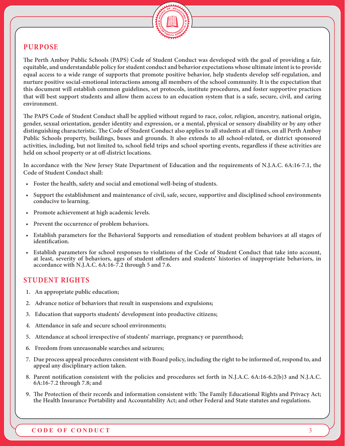

#### **PURPOSE**

**The Perth Amboy Public Schools (PAPS) Code of Student Conduct was developed with the goal of providing a fair, equitable, and understandable policy for student conduct and behavior expectations whose ultimate intent is to provide equal access to a wide range of supports that promote positive behavior, help students develop self-regulation, and nurture positive social-emotional interactions among all members of the school community. It is the expectation that this document will establish common guidelines, set protocols, institute procedures, and foster supportive practices that will best support students and allow them access to an education system that is a safe, secure, civil, and caring environment.** 

**The PAPS Code of Student Conduct shall be applied without regard to race, color, religion, ancestry, national origin, gender, sexual orientation, gender identity and expression, or a mental, physical or sensory disability or by any other distinguishing characteristic. The Code of Student Conduct also applies to all students at all times, on all Perth Amboy Public Schools property, buildings, buses and grounds. It also extends to all school-related, or district sponsored activities, including, but not limited to, school field trips and school sporting events, regardless if these activities are held on school property or at off-district locations.**

**In accordance with the New Jersey State Department of Education and the requirements of N.J.A.C. 6A:16-7.1, the Code of Student Conduct shall:**

- **• Foster the health, safety and social and emotional well-being of students.**
- **• Support the establishment and maintenance of civil, safe, secure, supportive and disciplined school environments conducive to learning.**
- **• Promote achievement at high academic levels.**
- **• Prevent the occurrence of problem behaviors.**
- **• Establish parameters for the Behavioral Supports and remediation of student problem behaviors at all stages of identification.**
- **• Establish parameters for school responses to violations of the Code of Student Conduct that take into account, at least, severity of behaviors, ages of student offenders and students' histories of inappropriate behaviors, in accordance with N.J.A.C. 6A:16-7.2 through 5 and 7.6.**

#### **STUDENT RIGHTS**

- **1. An appropriate public education;**
- **2. Advance notice of behaviors that result in suspensions and expulsions;**
- **3. Education that supports students' development into productive citizens;**
- **4. Attendance in safe and secure school environments;**
- **5. Attendance at school irrespective of students' marriage, pregnancy or parenthood;**
- **6. Freedom from unreasonable searches and seizures;**
- **7. Due process appeal procedures consistent with Board policy, including the right to be informed of, respond to, and appeal any disciplinary action taken.**
- **8. Parent notification consistent with the policies and procedures set forth in N.J.A.C. 6A:16-6.2(b)3 and N.J.A.C. 6A:16-7.2 through 7.8; and**
- **9. The Protection of their records and information consistent with: The Family Educational Rights and Privacy Act; the Health Insurance Portability and Accountability Act; and other Federal and State statutes and regulations.**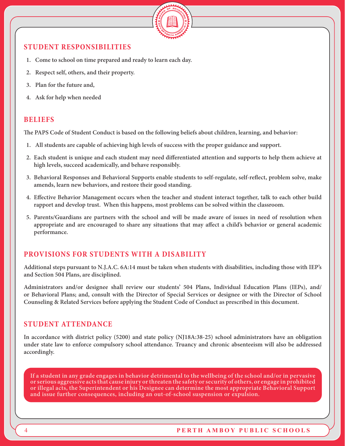

#### **STUDENT RESPONSIBILITIES**

- **1. Come to school on time prepared and ready to learn each day.**
- **2. Respect self, others, and their property.**
- **3. Plan for the future and,**
- **4. Ask for help when needed**

#### **BELIEFS**

**The PAPS Code of Student Conduct is based on the following beliefs about children, learning, and behavior:**

- **1. All students are capable of achieving high levels of success with the proper guidance and support.**
- **2. Each student is unique and each student may need differentiated attention and supports to help them achieve at high levels, succeed academically, and behave responsibly.**
- **3. Behavioral Responses and Behavioral Supports enable students to self-regulate, self-reflect, problem solve, make amends, learn new behaviors, and restore their good standing.**
- **4. Effective Behavior Management occurs when the teacher and student interact together, talk to each other build rapport and develop trust. When this happens, most problems can be solved within the classroom.**
- **5. Parents/Guardians are partners with the school and will be made aware of issues in need of resolution when appropriate and are encouraged to share any situations that may affect a child's behavior or general academic performance.**

# **PROVISIONS FOR STUDENTS WITH A DISABILITY**

**Additional steps pursuant to N.J.A.C. 6A:14 must be taken when students with disabilities, including those with IEP's and Section 504 Plans, are disciplined.** 

**Administrators and/or designee shall review our students' 504 Plans, Individual Education Plans (IEPs), and/ or Behavioral Plans; and, consult with the Director of Special Services or designee or with the Director of School Counseling & Related Services before applying the Student Code of Conduct as prescribed in this document.**

#### **STUDENT ATTENDANCE**

**In accordance with district policy (5200) and state policy (NJ18A:38-25) school administrators have an obligation under state law to enforce compulsory school attendance. Truancy and chronic absenteeism will also be addressed accordingly.**

**If a student in any grade engages in behavior detrimental to the wellbeing of the school and/or in pervasive or serious aggressive acts that cause injury or threaten the safety or security of others, or engage in prohibited or illegal acts, the Superintendent or his Designee can determine the most appropriate Behavioral Support and issue further consequences, including an out-of-school suspension or expulsion.**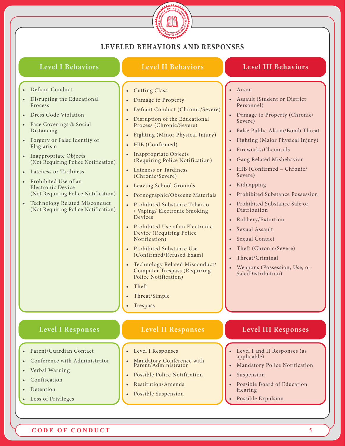

#### **LEVELED BEHAVIORS AND RESPONSES**

#### **Level I Behaviors**

#### **Level II Behaviors**

#### **Level III Behaviors**

• Assault (Student or District

• Damage to Property (Chronic/

• Fireworks/Chemicals

• Gang Related Misbehavior • HIB (Confirmed – Chronic/

• False Public Alarm/Bomb Threat • Fighting (Major Physical Injury)

• Prohibited Substance Possession • Prohibited Substance Sale or

• Arson

Personnel)

Severe)

Severe) • Kidnapping

Distribution

• Robbery/Extortion • Sexual Assault Sexual Contact

• Theft (Chronic/Severe)

• Weapons (Possession, Use, or

• Threat/Criminal

Sale/Distribution)

- Defiant Conduct
- Disrupting the Educational Process
- Dress Code Violation
- Face Coverings & Social Distancing
- Forgery or False Identity or Plagiarism
- Inappropriate Objects (Not Requiring Police Notification)
- Lateness or Tardiness
- Prohibited Use of an Electronic Device (Not Requiring Police Notification)
- Technology Related Misconduct (Not Requiring Police Notification)
- Cutting Class
- Damage to Property
- Defiant Conduct (Chronic/Severe)
- Disruption of the Educational Process (Chronic/Severe)
- Fighting (Minor Physical Injury)
- HIB (Confirmed)
- Inappropriate Objects (Requiring Police Notification)
- Lateness or Tardiness (Chronic/Severe)
- Leaving School Grounds
- Pornographic/Obscene Materials
- Prohibited Substance Tobacco / Vaping/ Electronic Smoking Devices
- Prohibited Use of an Electronic Device (Requiring Police Notification)
- Prohibited Substance Use (Confirmed/Refused Exam)
- Technology Related Misconduct/ Computer Trespass (Requiring Police Notification)
- Theft
- Threat/Simple
- **Trespass**

#### **Level I Responses**

- Parent/Guardian Contact
- Conference with Administrator
- Verbal Warning
- Confiscation
- Detention
- Loss of Privileges

# **Level II Responses**

- Level I Responses
- Mandatory Conference with Parent/Administrator
- Possible Police Notification
- Restitution/Amends
- Possible Suspension

#### **Level III Responses**

- Level I and II Responses (as applicable)
- Mandatory Police Notification
- **Suspension**
- Possible Board of Education Hearing
- Possible Expulsion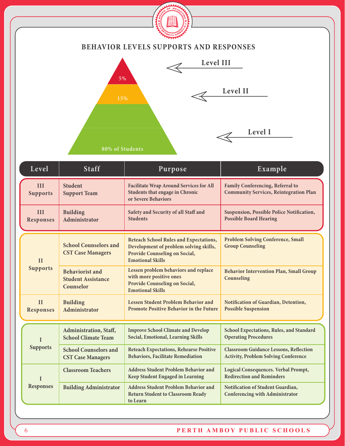

#### **BEHAVIOR LEVELS SUPPORTS AND RESPONSES**



| Level                   | <b>Staff</b>                                                     | Purpose                                                                                                                                                    | Example                                                                                      |
|-------------------------|------------------------------------------------------------------|------------------------------------------------------------------------------------------------------------------------------------------------------------|----------------------------------------------------------------------------------------------|
| III<br><b>Supports</b>  | <b>Student</b><br><b>Support Team</b>                            | <b>Facilitate Wrap Around Services for All</b><br><b>Students that engage in Chronic</b><br>or Severe Behaviors                                            | <b>Family Conferencing, Referral to</b><br><b>Community Services, Reintegration Plan</b>     |
| III<br><b>Responses</b> | <b>Building</b><br>Administrator                                 | Safety and Security of all Staff and<br><b>Students</b>                                                                                                    | <b>Suspension, Possible Police Notification,</b><br><b>Possible Board Hearing</b>            |
| II                      | <b>School Counselors and</b><br><b>CST Case Managers</b>         | <b>Reteach School Rules and Expectations,</b><br>Development of problem solving skills,<br><b>Provide Counseling on Social,</b><br><b>Emotional Skills</b> | <b>Problem Solving Conference, Small</b><br><b>Group Counseling</b>                          |
| <b>Supports</b>         | <b>Behaviorist and</b><br><b>Student Assistance</b><br>Counselor | Lessen problem behaviors and replace<br>with more positive ones<br><b>Provide Counseling on Social,</b><br><b>Emotional Skills</b>                         | <b>Behavior Intervention Plan, Small Group</b><br>Counseling                                 |
| II<br><b>Responses</b>  | <b>Building</b><br>Administrator                                 | Lessen Student Problem Behavior and<br><b>Promote Positive Behavior in the Future</b>                                                                      | <b>Notification of Guardian, Detention,</b><br><b>Possible Suspension</b>                    |
| $\mathbf{I}$            | Administration, Staff,<br><b>School Climate Team</b>             | <b>Improve School Climate and Develop</b><br><b>Social, Emotional, Learning Skills</b>                                                                     | <b>School Expectations, Rules, and Standard</b><br><b>Operating Procedures</b>               |
| <b>Supports</b>         | <b>School Counselors and</b><br><b>CST Case Managers</b>         | <b>Reteach Expectations, Rehearse Positive</b><br><b>Behaviors, Facilitate Remediation</b>                                                                 | <b>Classroom Guidance Lessons, Reflection</b><br><b>Activity, Problem Solving Conference</b> |
| $\mathbf{I}$            | <b>Classroom Teachers</b>                                        | <b>Address Student Problem Behavior and</b><br><b>Keep Student Engaged in Learning</b>                                                                     | <b>Logical Consequences. Verbal Prompt,</b><br><b>Redirection and Reminders</b>              |
| <b>Responses</b>        | <b>Building Administrator</b>                                    | <b>Address Student Problem Behavior and</b><br><b>Return Student to Classroom Ready</b><br>to Learn                                                        | Notification of Student Guardian,<br><b>Conferencing with Administrator</b>                  |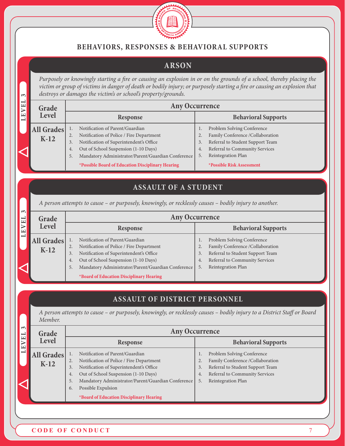

# **BEHAVIORS, RESPONSES & BEHAVIORAL SUPPORTS**

# **ARSON**

*Purposely or knowingly starting a fire or causing an explosion in or on the grounds of a school, thereby placing the victim or group of victims in danger of death or bodily injury; or purposely starting a fire or causing an explosion that destroys or damages the victim's or school's property/grounds.*

| ణ⊧   |                             | aestroys or authages the victims or schoots property/grounds.                                                                                                                                                                                                                               |                                                                                                                                                                                                                   |  |  |  |  |  |  |  |
|------|-----------------------------|---------------------------------------------------------------------------------------------------------------------------------------------------------------------------------------------------------------------------------------------------------------------------------------------|-------------------------------------------------------------------------------------------------------------------------------------------------------------------------------------------------------------------|--|--|--|--|--|--|--|
| EVEL | Grade                       |                                                                                                                                                                                                                                                                                             | <b>Any Occurrence</b>                                                                                                                                                                                             |  |  |  |  |  |  |  |
|      | <b>Level</b>                | <b>Response</b>                                                                                                                                                                                                                                                                             | <b>Behavioral Supports</b>                                                                                                                                                                                        |  |  |  |  |  |  |  |
|      | <b>All Grades</b><br>$K-12$ | Notification of Parent/Guardian<br>Notification of Police / Fire Department<br>Notification of Superintendent's Office<br>3.<br>Out of School Suspension (1-10 Days)<br>4.<br>Mandatory Administrator/Parent/Guardian Conference<br>5.<br>*Possible Board of Education Disciplinary Hearing | Problem Solving Conference<br>Family Conference /Collaboration<br>Referral to Student Support Team<br>Referral to Community Services<br>4.<br>Reintegration Plan<br>5.<br><i><b>*Possible Risk Assessment</b></i> |  |  |  |  |  |  |  |

# **ASSAULT OF A STUDENT**

*A person attempts to cause – or purposely, knowingly, or recklessly causes – bodily injury to another.*

| $\sim$<br>$\mathbf{E}$   | Grade      |    | <b>Any Occurrence</b>                              |    |                                  |  |  |  |  |
|--------------------------|------------|----|----------------------------------------------------|----|----------------------------------|--|--|--|--|
| EV                       | Level      |    | Response                                           |    | <b>Behavioral Supports</b>       |  |  |  |  |
| $\overline{\phantom{0}}$ | All Grades |    | Notification of Parent/Guardian                    |    | Problem Solving Conference       |  |  |  |  |
|                          |            | 2. | Notification of Police / Fire Department           | 2. | Family Conference /Collaboration |  |  |  |  |
|                          | $K-12$     | 3. | Notification of Superintendent's Office            | 3. | Referral to Student Support Team |  |  |  |  |
|                          |            | 4. | Out of School Suspension (1-10 Days)               | 4. | Referral to Community Services   |  |  |  |  |
|                          |            |    | Mandatory Administrator/Parent/Guardian Conference | 5. | Reintegration Plan               |  |  |  |  |
|                          |            |    | *Board of Education Disciplinary Hearing           |    |                                  |  |  |  |  |

# **ASSAULT OF DISTRICT PERSONNEL**

*A person attempts to cause – or purposely, knowingly, or recklessly causes – bodily injury to a District Staff or Board Member.*

| $\sim$<br>E1      | Grade  |    | <b>Any Occurrence</b>                              |    |                                  |  |  |  |  |
|-------------------|--------|----|----------------------------------------------------|----|----------------------------------|--|--|--|--|
| $\mathbf{\Xi}$    | Level  |    | Response                                           |    | <b>Behavioral Supports</b>       |  |  |  |  |
| <b>All Grades</b> |        |    | Notification of Parent/Guardian                    |    | Problem Solving Conference       |  |  |  |  |
|                   | $K-12$ | 2. | Notification of Police / Fire Department           | 2. | Family Conference /Collaboration |  |  |  |  |
|                   |        | 3. | Notification of Superintendent's Office            | 3. | Referral to Student Support Team |  |  |  |  |
|                   |        | 4. | Out of School Suspension (1-10 Days)               | 4. | Referral to Community Services   |  |  |  |  |
|                   |        | 5. | Mandatory Administrator/Parent/Guardian Conference | 5. | Reintegration Plan               |  |  |  |  |
|                   |        | 6. | Possible Expulsion                                 |    |                                  |  |  |  |  |
|                   |        |    | *Board of Education Disciplinary Hearing           |    |                                  |  |  |  |  |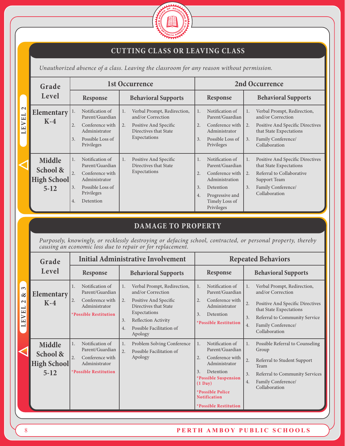

# **CUTTING CLASS OR LEAVING CLASS**

*Unauthorized absence of a class. Leaving the classroom for any reason without permission.*

|                                   | Grade                          |    |                                    |    | 1st Occurrence                                   |          |                                    |    | 2nd Occurrence                                              |
|-----------------------------------|--------------------------------|----|------------------------------------|----|--------------------------------------------------|----------|------------------------------------|----|-------------------------------------------------------------|
|                                   | Level                          |    | Response                           |    | <b>Behavioral Supports</b>                       |          | <b>Response</b>                    |    | <b>Behavioral Supports</b>                                  |
| $\mathbf{\Omega}$<br>EL           | Elementary<br>$K-4$            | 1. | Notification of<br>Parent/Guardian | 1. | Verbal Prompt, Redirection,<br>and/or Correction | 1.       | Notification of<br>Parent/Guardian | 1. | Verbal Prompt, Redirection,<br>and/or Correction            |
| $\triangleright$<br>$\frac{1}{2}$ |                                | 2. | Conference with<br>Administrator   | 2. | Positive And Specific<br>Directives that State   | 2.       | Conference with<br>Administrator   | 2. | Positive And Specific Directives<br>that State Expectations |
|                                   |                                | 3. | Possible Loss of<br>Privileges     |    | Expectations                                     | 3.       | Possible Loss of<br>Privileges     | 3. | Family Conference/<br>Collaboration                         |
|                                   | Middle                         | 1. | Notification of<br>Parent/Guardian | 1. | Positive And Specific<br>Directives that State   | 1.       | Notification of<br>Parent/Guardian | 1. | Positive And Specific Directives<br>that State Expectations |
|                                   | School &<br><b>High School</b> | 2. | Conference with<br>Administrator   |    | Expectations                                     | 2.       | Conference with<br>Administration  | 2. | Referral to Collaborative<br>Support Team                   |
|                                   | $5 - 12$                       | 3. | Possible Loss of<br>Privileges     |    |                                                  | 3.<br>4. | Detention<br>Progressive and       | 3. | Family Conference/<br>Collaboration                         |
|                                   |                                | 4. | Detention                          |    |                                                  |          | Timely Loss of<br>Privileges       |    |                                                             |

# **DAMAGE TO PROPERTY**

*Purposely, knowingly, or recklessly destroying or defacing school, contracted, or personal property, thereby causing an economic loss due to repair or for replacement.*

|                                                                                                                       | Grade                                              |                                                                                                             | <b>Initial Administrative Involvement</b>                                                                                                                                                                |                                                                                                                                                                                                                                      | <b>Repeated Behaviors</b>                                                                                                                                                                                       |
|-----------------------------------------------------------------------------------------------------------------------|----------------------------------------------------|-------------------------------------------------------------------------------------------------------------|----------------------------------------------------------------------------------------------------------------------------------------------------------------------------------------------------------|--------------------------------------------------------------------------------------------------------------------------------------------------------------------------------------------------------------------------------------|-----------------------------------------------------------------------------------------------------------------------------------------------------------------------------------------------------------------|
|                                                                                                                       | Level                                              | Response                                                                                                    | <b>Behavioral Supports</b>                                                                                                                                                                               | <b>Response</b>                                                                                                                                                                                                                      | <b>Behavioral Supports</b>                                                                                                                                                                                      |
| $\sim$<br>$\propto$<br>$\mathbf{\sim}$<br>$\rightarrow$<br>$\mathbf{L}$<br>$\triangleright$<br>$\mathbf{L}$<br>$\Box$ | Elementary<br>$K-4$                                | Notification of<br>Parent/Guardian<br>Conference with<br>2.<br>Administrator<br>*Possible Restitution       | Verbal Prompt, Redirection,<br>1.<br>and/or Correction<br>Positive And Specific<br>2.<br>Directives that State<br>Expectations<br>Reflection Activity<br>3.<br>Possible Facilitation of<br>4.<br>Apology | Notification of<br>1.<br>Parent/Guardian<br>Conference with<br>2.<br>Administrator<br>3.<br>Detention<br><i><b>*Possible Restitution</b></i>                                                                                         | Verbal Prompt, Redirection,<br>1.<br>and/or Correction<br>2.<br>Positive And Specific Directives<br>that State Expectations<br>Referral to Community Service<br>3.<br>Family Conference/<br>4.<br>Collaboration |
|                                                                                                                       | Middle<br>School &<br><b>High School</b><br>$5-12$ | Notification of<br>1.<br>Parent/Guardian<br>Conference with<br>2.<br>Administrator<br>*Possible Restitution | Problem Solving Conference<br>1.<br>$\overline{2}$ .<br>Possible Facilitation of<br>Apology                                                                                                              | Notification of<br>1.<br>Parent/Guardian<br>Conference with<br>2.<br>Administrator<br>Detention<br>3.<br><i>*Possible Suspension</i><br>$(1 \text{ Day})$<br><i>*Possible Police</i><br><b>Notification</b><br>*Possible Restitution | Possible Referral to Counseling<br>1.<br>Group<br>2.<br>Referral to Student Support<br>Team<br>3.<br>Referral to Community Services<br>Family Conference/<br>4.<br>Collaboration                                |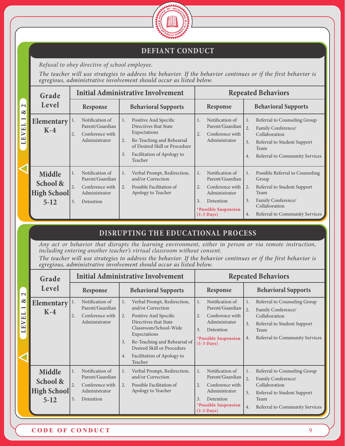

#### **DEFIANT CONDUCT**

*Refusal to obey directive of school employee.*

*The teacher will use strategies to address the behavior. If the behavior continues or if the first behavior is egregious, administrative involvement should occur as listed below.*

|                                                 | Grade                                                     |                                                                                                       | <b>Initial Administrative Involvement</b>                                                                                                                                         |                                                                                                                                               | <b>Repeated Behaviors</b>                                                                                                                                                        |
|-------------------------------------------------|-----------------------------------------------------------|-------------------------------------------------------------------------------------------------------|-----------------------------------------------------------------------------------------------------------------------------------------------------------------------------------|-----------------------------------------------------------------------------------------------------------------------------------------------|----------------------------------------------------------------------------------------------------------------------------------------------------------------------------------|
| $\sim$<br>చ                                     | Level                                                     | Response                                                                                              | <b>Behavioral Supports</b>                                                                                                                                                        | <b>Response</b>                                                                                                                               | <b>Behavioral Supports</b>                                                                                                                                                       |
| $\overline{\phantom{0}}$<br>VEL<br>$\mathbf{L}$ | <b>Elementary</b><br>$K-4$                                | Notification of<br>1.<br>Parent/Guardian<br>2.<br>Conference with<br>Administrator                    | Positive And Specific<br>Directives that State<br>Expectations<br>Re-Teaching and Rehearsal<br>2.<br>of Desired Skill or Procedure<br>3.<br>Facilitation of Apology to<br>Teacher | Notification of<br>1.<br>Parent/Guardian<br>Conference with<br>2.<br>Administrator                                                            | Referral to Counseling Group<br>1.<br>2.<br>Family Conference/<br>Collaboration<br>3.<br>Referral to Student Support<br>Team<br>Referral to Community Services<br>4.             |
|                                                 | <b>Middle</b><br>School &<br><b>High School</b><br>$5-12$ | Notification of<br>1.<br>Parent/Guardian<br>2.<br>Conference with<br>Administrator<br>3.<br>Detention | Verbal Prompt, Redirection,<br>1.<br>and/or Correction<br>Possible Facilitation of<br>2.<br>Apology to Teacher                                                                    | Notification of<br>1.<br>Parent/Guardian<br>Conference with<br>2.<br>Administrator<br>3.<br>Detention<br>*Possible Suspension<br>$(1-3$ Days) | Possible Referral to Counseling<br>1.<br>Group<br>2.<br>Referral to Student Support<br>Team<br>Family Conference/<br>3.<br>Collaboration<br>Referral to Community Services<br>4. |

# **DISRUPTING THE EDUCATIONAL PROCESS**

*Any act or behavior that disrupts the learning environment, either in person or via remote instruction, including entering another teacher's virtual classroom without consent.*

*The teacher will use strategies to address the behavior. If the behavior continues or if the first behavior is egregious, administrative involvement should occur as listed below.*

|                                                                                                                                           | Grade                                                |                                                                                                       | <b>Initial Administrative Involvement</b>                                                                                                                                                                                                                                  |                                                                                                                                                                          | <b>Repeated Behaviors</b>                                                                                                                                                        |
|-------------------------------------------------------------------------------------------------------------------------------------------|------------------------------------------------------|-------------------------------------------------------------------------------------------------------|----------------------------------------------------------------------------------------------------------------------------------------------------------------------------------------------------------------------------------------------------------------------------|--------------------------------------------------------------------------------------------------------------------------------------------------------------------------|----------------------------------------------------------------------------------------------------------------------------------------------------------------------------------|
| $\sim$                                                                                                                                    | Level                                                | <b>Response</b>                                                                                       | <b>Behavioral Supports</b>                                                                                                                                                                                                                                                 | <b>Response</b>                                                                                                                                                          | <b>Behavioral Supports</b>                                                                                                                                                       |
| ళ<br>$\overline{\phantom{0}}$<br>$\overline{\phantom{0}}$<br>$\mathbf{L}$<br>$\triangleright$<br>$\mathbf{L}$<br>$\overline{\phantom{0}}$ | Elementary<br>$K-4$                                  | Notification of<br>1.<br>Parent/Guardian<br>Conference with<br>2.<br>Administrator                    | Verbal Prompt, Redirection,<br>1.<br>and/or Correction<br>Positive And Specific<br>2.<br>Directives that State<br>Classroom/School-Wide<br>Expectations<br>Re-Teaching and Rehearsal of<br>3.<br>Desired Skill or Procedure<br>Facilitation of Apology to<br>4.<br>Teacher | Notification of<br>1.<br>Parent/Guardian<br>Conference with<br>2.<br>Administrator<br>3.<br>Detention<br>*Possible Suspension<br>$(1-3 \text{ Days})$                    | Referral to Counseling Group<br>1.<br>2.<br>Family Conference/<br>Collaboration<br>3.<br>Referral to Student Support<br>Team<br>Referral to Community Services<br>4.             |
|                                                                                                                                           | Middle<br>School &<br><b>High School</b><br>$5 - 12$ | Notification of<br>1.<br>Parent/Guardian<br>2.<br>Conference with<br>Administrator<br>3.<br>Detention | Verbal Prompt, Redirection,<br>1.<br>and/or Correction<br>Possible Facilitation of<br>$\overline{2}$ .<br>Apology to Teacher                                                                                                                                               | Notification of<br>1.<br>Parent/Guardian<br>Conference with<br>2.<br>Administrator<br>$\mathbf{3}$ .<br>Detention<br><i>*Possible Suspension</i><br>$(1-3 \text{ Days})$ | Referral to Counseling Group<br>1.<br>2.<br>Family Conference/<br>Collaboration<br>3 <sub>1</sub><br>Referral to Student Support<br>Team<br>Referral to Community Services<br>4. |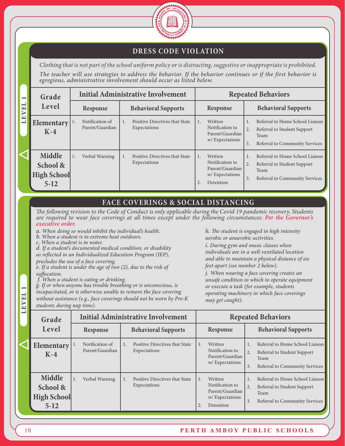

#### **DRESS CODE VIOLATION**

*Clothing that is not part of the school uniform policy or is distracting, suggestive or inappropriate is prohibited. The teacher will use strategies to address the behavior. If the behavior continues or if the first behavior is egregious, administrative involvement should occur as listed below.*

| $\overline{\phantom{0}}$ | Grade                                                |    | <b>Initial Administrative Involvement</b> |  |                                                |  | <b>Repeated Behaviors</b>                                                    |          |                                                                                                                 |  |
|--------------------------|------------------------------------------------------|----|-------------------------------------------|--|------------------------------------------------|--|------------------------------------------------------------------------------|----------|-----------------------------------------------------------------------------------------------------------------|--|
| E1<br>EV                 | Level                                                |    | Response                                  |  | <b>Behavioral Supports</b>                     |  | Response                                                                     |          | <b>Behavioral Supports</b>                                                                                      |  |
| コ                        | Elementary $\vert^{1}$ .<br>$K-4$                    |    | Notification of<br>Parent/Guardian        |  | Positive Directives that State<br>Expectations |  | Written<br>Notification to<br>Parent/Guardian<br>w/Expectations              | 2.<br>3. | Referral to Home School Liaison<br>Referral to Student Support<br>Team<br><b>Referral to Community Services</b> |  |
|                          | Middle<br>School &<br><b>High School</b><br>$5 - 12$ | 1. | Verbal Warning                            |  | Positive Directives that State<br>Expectations |  | Written<br>Notification to<br>Parent/Guardian<br>w/Expectations<br>Detention | 2.<br>3. | Referral to Home School Liaison<br>Referral to Student Support<br>Team<br><b>Referral to Community Services</b> |  |

#### **FACE COVERINGS & SOCIAL DISTANCING**

*The following revision to the Code of Conduct is only applicable during the Covid 19 pandemic recovery. Students are required to wear face coverings at all times except under the following circumstances: Per the Governor's executive order.*

*a. When doing so would inhibit the individual's health.* 

*b. When a student is in extreme heat outdoors.*

*c. When a student is in water.* 

*d. If a student's documented medical condition, or disability as reflected in an Individualized Education Program (IEP), precludes the use of a face covering.* 

*e. If a student is under the age of two (2), due to the risk of suffocation.*

 *f. When a student is eating or drinking.* 

*g. If or when anyone has trouble breathing or is unconscious, is incapacitated, or is otherwise unable to remove the face covering without assistance (e.g., face coverings should not be worn by Pre-K students during nap time).* 

*h. The student is engaged in high intensity aerobic or anaerobic activities.* 

*i. During gym and music classes when individuals are in a well-ventilated location and able to maintain a physical distance of six feet apart (see number 2 below).* 

*j. When wearing a face covering creates an unsafe condition in which to operate equipment or execute a task (for example, students operating machinery in which face coverings may get caught).*

| Grade                                                     |                                    | <b>Initial Administrative Involvement</b>                   | <b>Repeated Behaviors</b>                                                    |                                                                                                                      |  |  |  |
|-----------------------------------------------------------|------------------------------------|-------------------------------------------------------------|------------------------------------------------------------------------------|----------------------------------------------------------------------------------------------------------------------|--|--|--|
| Level                                                     | Response                           | <b>Behavioral Supports</b>                                  | Response                                                                     | <b>Behavioral Supports</b>                                                                                           |  |  |  |
| Elementary<br>$K-4$                                       | Notification of<br>Parent/Guardian | <b>Positive Directives that State</b><br>1.<br>Expectations | Written<br>Notification to<br>Parent/Guardian<br>w/Expectations              | Referral to Home School Liaison<br>2.<br>Referral to Student Support<br>Team<br>3.<br>Referral to Community Services |  |  |  |
| <b>Middle</b><br>School &<br><b>High School</b><br>$5-12$ | Verbal Warning                     | Positive Directives that State<br>1.<br>Expectations        | Written<br>Notification to<br>Parent/Guardian<br>w/Expectations<br>Detention | Referral to Home School Liaison<br>2.<br>Referral to Student Support<br>Team<br>3.<br>Referral to Community Services |  |  |  |

**LEVEL 1**

EVEL

f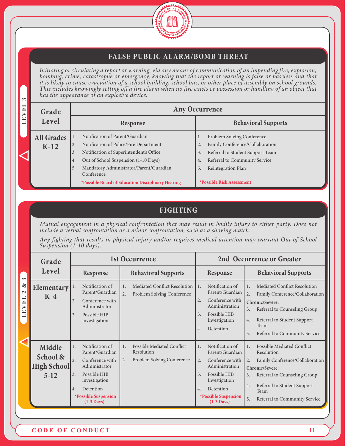

# **FALSE PUBLIC ALARM/BOMB THREAT**

*Initiating or circulating a report or warning, via any means of communication of an impending fire, explosion, bombing, crime, catastrophe or emergency, knowing that the report or warning is false or baseless and that it is likely to cause evacuation of a school building, school bus, or other place of assembly on school grounds. This includes knowingly setting off a fire alarm when no fire exists or possession or handling of an object that has the appearance of an explosive device.* 

| $\sim$                               |                   |    |                                                       |    |                                  |  |  |  |
|--------------------------------------|-------------------|----|-------------------------------------------------------|----|----------------------------------|--|--|--|
| $\mathbf{\mathord{\text{--}}}$<br>VE | Grade             |    | <b>Any Occurrence</b>                                 |    |                                  |  |  |  |
| $\overline{\mathbf{r}}$<br>一         | Level             |    | Response                                              |    | <b>Behavioral Supports</b>       |  |  |  |
|                                      | <b>All Grades</b> |    | Notification of Parent/Guardian                       |    | Problem Solving Conference       |  |  |  |
|                                      | $K-12$            | 2. | Notification of Police/Fire Department                |    | Family Conference/Collaboration  |  |  |  |
|                                      |                   | 3. | Notification of Superintendent's Office               | 3. | Referral to Student Support Team |  |  |  |
|                                      |                   | 4. | Out of School Suspension (1-10 Days)                  | 4. | Referral to Community Service    |  |  |  |
|                                      |                   | 5. | Mandatory Administrator/Parent/Guardian<br>Conference | 5. | Reintegration Plan               |  |  |  |
|                                      |                   |    | *Possible Board of Education Disciplinary Hearing     |    | *Possible Risk Assessment        |  |  |  |

# **FIGHTING**

*Mutual engagement in a physical confrontation that may result in bodily injury to either party. Does not include a verbal confrontation or a minor confrontation, such as a shoving match.*

*Any fighting that results in physical injury and/or requires medical attention may warrant Out of School Suspension (1-10 days).*

|                                                                                                               | Grade                                         |                                                                                                                                                                                                                          | 1st Occurrence                                                                              |                                                                                                                                                                                                             | 2nd Occurrence or Greater                                                                                                                                                                                                                               |
|---------------------------------------------------------------------------------------------------------------|-----------------------------------------------|--------------------------------------------------------------------------------------------------------------------------------------------------------------------------------------------------------------------------|---------------------------------------------------------------------------------------------|-------------------------------------------------------------------------------------------------------------------------------------------------------------------------------------------------------------|---------------------------------------------------------------------------------------------------------------------------------------------------------------------------------------------------------------------------------------------------------|
| $\infty$                                                                                                      | Level                                         | <b>Response</b>                                                                                                                                                                                                          | <b>Behavioral Supports</b>                                                                  | <b>Response</b>                                                                                                                                                                                             | <b>Behavioral Supports</b>                                                                                                                                                                                                                              |
| $\infty$<br>$\sim$<br>$\overline{\phantom{0}}$<br>$\overline{\mathbf{H}}$<br>$\triangleright$<br>$\mathbb{H}$ | Elementary<br>$K-4$                           | Notification of<br>1.<br>Parent/Guardian<br>2.<br>Conference with<br>Administrator<br>3.<br>Possible HIB<br>investigation                                                                                                | <b>Mediated Conflict Resolution</b><br>1.<br>$\overline{2}$ .<br>Problem Solving Conference | Notification of<br>1.<br>Parent/Guardian<br>Conference with<br>2.<br>Administration<br>Possible HIB<br>3.<br>Investigation<br>Detention<br>4.                                                               | Mediated Conflict Resolution<br>1.<br>2.<br>Family Conference/Collaboration<br>Chronic/Severe:<br>Referral to Counseling Group<br>3.<br>Referral to Student Support<br>4.<br>Team<br>5.<br>Referral to Community Service                                |
|                                                                                                               | Middle<br>School &<br>High School<br>$5 - 12$ | Notification of<br>1.<br>Parent/Guardian<br>$\overline{2}$ .<br>Conference with<br>Administrator<br>Possible HIB<br>3.<br>investigation<br>Detention<br>4.<br><i><b>*Possible Suspension</b></i><br>$(1-3 \text{ Days})$ | <b>Possible Mediated Conflict</b><br>1.<br>Resolution<br>Problem Solving Conference<br>2.   | Notification of<br>1.<br>Parent/Guardian<br>Conference with<br>2.<br>Administration<br>Possible HIB<br>3.<br>Investigation<br>Detention<br>4.<br><i><b>*Possible Suspension</b></i><br>$(1-3 \text{ Days})$ | <b>Possible Mediated Conflict</b><br>1 <sup>1</sup><br>Resolution<br>Family Conference/Collaboration<br>2.<br>Chronic/Severe:<br>Referral to Counseling Group<br>3.<br>Referral to Student Support<br>4.<br>Team<br>5.<br>Referral to Community Service |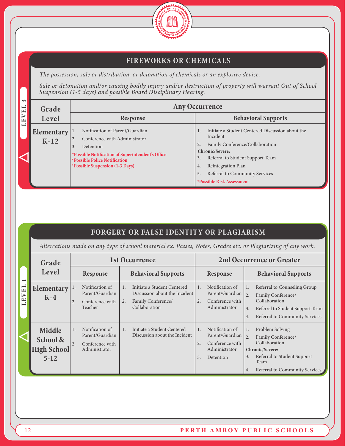

# **FIREWORKS OR CHEMICALS**

*The possession, sale or distribution, or detonation of chemicals or an explosive device.*

*Sale or detonation and/or causing bodily injury and/or destruction of property will warrant Out of School Suspension (1-5 days) and possible Board Disciplinary Hearing.*

| $\sim$<br>EL                                              | Grade                | <b>Any Occurrence</b>                                                                                                                                                                                                      |                                                                                                                                                                                                                                                                      |  |  |  |
|-----------------------------------------------------------|----------------------|----------------------------------------------------------------------------------------------------------------------------------------------------------------------------------------------------------------------------|----------------------------------------------------------------------------------------------------------------------------------------------------------------------------------------------------------------------------------------------------------------------|--|--|--|
| $\triangleright$<br>$\begin{array}{c} \hline \end{array}$ | Level                | <b>Response</b>                                                                                                                                                                                                            | <b>Behavioral Supports</b>                                                                                                                                                                                                                                           |  |  |  |
| $\blacksquare$                                            | Elementary<br>$K-12$ | Notification of Parent/Guardian<br>Conference with Administrator<br>Detention<br>3.<br>*Possible Notification of Superintendent's Office<br><i><b>*Possible Police Notification</b></i><br>*Possible Suspension (1-3 Days) | Initiate a Student Centered Discussion about the<br>Incident<br>Family Conference/Collaboration<br><b>Chronic/Severe:</b><br>Referral to Student Support Team<br>3.<br>Reintegration Plan<br>4.<br>Referral to Community Services<br>5.<br>*Possible Risk Assessment |  |  |  |

# **FORGERY OR FALSE IDENTITY OR PLAGIARISM**

*Altercations made on any type of school material ex. Passes, Notes, Grades etc. or Plagiarizing of any work.*

|                          | Grade                                                |                                                                                    | 1st Occurrence                                                                                            |                                                                                                       | <b>2nd Occurrence or Greater</b>                                                                                                                                           |
|--------------------------|------------------------------------------------------|------------------------------------------------------------------------------------|-----------------------------------------------------------------------------------------------------------|-------------------------------------------------------------------------------------------------------|----------------------------------------------------------------------------------------------------------------------------------------------------------------------------|
| $\overline{\phantom{0}}$ | Level                                                | Response                                                                           | <b>Behavioral Supports</b>                                                                                | Response                                                                                              | <b>Behavioral Supports</b>                                                                                                                                                 |
| VEL<br>$\mathbf{L}$      | Elementary<br>$K-4$                                  | Notification of<br>1.<br>Parent/Guardian<br>Conference with<br>2.<br>Teacher       | Initiate a Student Centered<br>Discussion about the Incident<br>Family Conference/<br>2.<br>Collaboration | Notification of<br>1.<br>Parent/Guardian<br>Conference with<br>2.<br>Administrator                    | Referral to Counseling Group<br>1.<br>2.<br>Family Conference/<br>Collaboration<br>3.<br>Referral to Student Support Team<br>Referral to Community Services<br>4.          |
|                          | Middle<br>School &<br><b>High School</b><br>$5 - 12$ | Notification of<br>1.<br>Parent/Guardian<br>2.<br>Conference with<br>Administrator | Initiate a Student Centered<br>$\mathbf{1}$ .<br>Discussion about the Incident                            | Notification of<br>1.<br>Parent/Guardian<br>Conference with<br>2.<br>Administrator<br>3.<br>Detention | Problem Solving<br>1.<br>2.<br>Family Conference/<br>Collaboration<br>Chronic/Severe:<br>Referral to Student Support<br>3.<br>Team<br>Referral to Community Services<br>4. |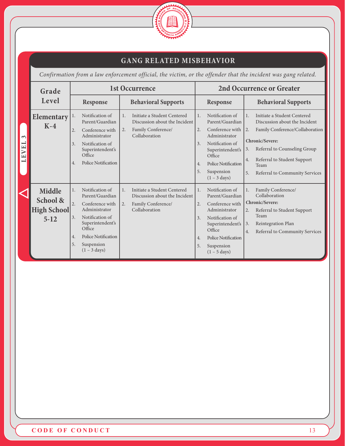

# **GANG RELATED MISBEHAVIOR**

*Confirmation from a law enforcement official, the victim, or the offender that the incident was gang related.*

|                     | Grade                                         |                            |                                                                                                                                                                                        |          | <b>1st Occurrence</b>                                                                               |                                          |                                                                                                                                                                                               |                                        | <b>2nd Occurrence or Greater</b>                                                                                                                                                                                            |
|---------------------|-----------------------------------------------|----------------------------|----------------------------------------------------------------------------------------------------------------------------------------------------------------------------------------|----------|-----------------------------------------------------------------------------------------------------|------------------------------------------|-----------------------------------------------------------------------------------------------------------------------------------------------------------------------------------------------|----------------------------------------|-----------------------------------------------------------------------------------------------------------------------------------------------------------------------------------------------------------------------------|
|                     | Level                                         |                            | Response                                                                                                                                                                               |          | <b>Behavioral Supports</b>                                                                          |                                          | Response                                                                                                                                                                                      |                                        | <b>Behavioral Supports</b>                                                                                                                                                                                                  |
| $\sim$<br>一<br>LEVE | <b>Elementary</b><br>$K-4$                    | 1.<br>2.<br>3.<br>4.       | Notification of<br>Parent/Guardian<br>Conference with<br>Administrator<br>Notification of<br>Superintendent's<br>Office<br><b>Police Notification</b>                                  | 1.<br>2. | Initiate a Student Centered<br>Discussion about the Incident<br>Family Conference/<br>Collaboration | 1.<br>2.<br>$\overline{3}$ .<br>4.<br>5. | Notification of<br>Parent/Guardian<br>Conference with<br>Administrator<br>Notification of<br>Superintendent's<br>Office<br><b>Police Notification</b><br>Suspension<br>$(1 - 3 \text{ days})$ | $\mathbf{1}$ .<br>2.<br>3.<br>4.<br>5. | Initiate a Student Centered<br>Discussion about the Incident<br>Family Conference/Collaboration<br>Chronic/Severe:<br>Referral to Counseling Group<br>Referral to Student Support<br>Team<br>Referral to Community Services |
|                     | Middle<br>School &<br>High School<br>$5 - 12$ | 1.<br>2.<br>3.<br>4.<br>5. | Notification of<br>Parent/Guardian<br>Conference with<br>Administrator<br>Notification of<br>Superintendent's<br>Office<br>Police Notification<br>Suspension<br>$(1 - 3 \text{ days})$ | 1.<br>2. | Initiate a Student Centered<br>Discussion about the Incident<br>Family Conference/<br>Collaboration | $\mathbf{1}$ .<br>2.<br>3.<br>4.<br>5.   | Notification of<br>Parent/Guardian<br>Conference with<br>Administrator<br>Notification of<br>Superintendent's<br>Office<br><b>Police Notification</b><br>Suspension<br>$(1 - 5 \text{ days})$ | 1.<br>2.<br>3.<br>4.                   | Family Conference/<br>Collaboration<br>Chronic/Severe:<br>Referral to Student Support<br>Team<br>Reintegration Plan<br>Referral to Community Services                                                                       |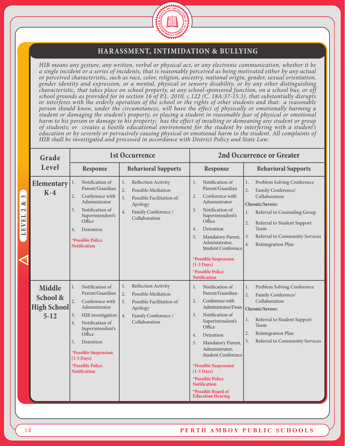

#### **HARASSMENT, INTIMIDATION & BULLYING**

*HIB means any gesture, any written, verbal or physical act, or any electronic communication, whether it be a single incident or a series of incidents, that is reasonably perceived as being motivated either by any actual or perceived characteristic, such as race, color, religion, ancestry, national origin, gender, sexual orientation, gender identity and expression, or a mental, physical or sensory disability, or by any other distinguishing characteristic, that takes place on school property, at any school-sponsored function, on a school bus, or off school grounds as provided for in section 16 of P.L. 2010, c.122 (C. 18A:37-15.3), that substantially disrupts or interferes with the orderly operation of the school or the rights of other students and that: a reasonable person should know, under the circumstances, will have the effect of physically or emotionally harming a student or damaging the student's property, or placing a student in reasonable fear of physical or emotional harm to his person or damage to his property; has the effect of insulting or demeaning any student or group of students; or creates a hostile educational environment for the student by interfering with a student's education or by severely or pervasively causing physical or emotional harm to the student. All complaints of HIB shall be investigated and processed in accordance with District Policy and State Law.*

| Grade                                                |                                                                                                                                                                                                                                                                                    | <b>1st Occurrence</b>                                                                                                                                                 |                                                                                                                                                                                                                                                                                                                                                                                                                                     | <b>2nd Occurrence or Greater</b>                                                                                                                                                                                                                                      |
|------------------------------------------------------|------------------------------------------------------------------------------------------------------------------------------------------------------------------------------------------------------------------------------------------------------------------------------------|-----------------------------------------------------------------------------------------------------------------------------------------------------------------------|-------------------------------------------------------------------------------------------------------------------------------------------------------------------------------------------------------------------------------------------------------------------------------------------------------------------------------------------------------------------------------------------------------------------------------------|-----------------------------------------------------------------------------------------------------------------------------------------------------------------------------------------------------------------------------------------------------------------------|
| Level                                                | Response                                                                                                                                                                                                                                                                           | <b>Behavioral Supports</b>                                                                                                                                            | Response                                                                                                                                                                                                                                                                                                                                                                                                                            | <b>Behavioral Supports</b>                                                                                                                                                                                                                                            |
| Elementary<br>$K-4$                                  | Notification of<br>1.<br>Parent/Guardian<br>2.<br>Conference with<br>Administrator<br>Notification of<br>$\overline{3}$ .<br>Superintendent's<br>Office<br>Detention<br>4.<br><b>*Possible Police</b><br><b>Notification</b>                                                       | 1.<br>Reflection Activity<br>$\overline{2}$ .<br><b>Possible Mediation</b><br>3.<br>Possible Facilitation of<br>Apology<br>4.<br>Family Conference /<br>Collaboration | Notification of<br>1.<br>Parent/Guardian<br>Conference with<br>2.<br>Administrator<br>Notification of<br>3.<br>Superintendent's<br>Office<br>Detention<br>4.<br>5.<br>Mandatory Parent,<br>Administrator,<br><b>Student Conference</b><br>*Possible Suspension                                                                                                                                                                      | Problem Solving Conference<br>1.<br>$\overline{2}$ .<br>Family Conference/<br>Collaboration<br>Chronic/Severe:<br>Referral to Counseling Group<br>1.<br>2.<br>Referral to Student Support<br>Team<br>Referral to Community Services<br>3.<br>4.<br>Reintegration Plan |
|                                                      |                                                                                                                                                                                                                                                                                    |                                                                                                                                                                       | $(1-3$ Days)<br>*Possible Police                                                                                                                                                                                                                                                                                                                                                                                                    |                                                                                                                                                                                                                                                                       |
| Middle<br>School &<br><b>High School</b><br>$5 - 12$ | Notification of<br>1.<br>Parent/Guardian<br>2.<br>Conference with<br>Administrator<br>3.<br>HIB investigation<br>Notification of<br>4.<br>Superintendent's<br>Office<br>5.<br>Detention<br>*Possible Suspension<br>$(1-3 \text{ Days})$<br>*Possible Police<br><b>Notification</b> | 1.<br>Reflection Activity<br>2.<br><b>Possible Mediation</b><br>3.<br>Possible Facilitation of<br>Apology<br>4.<br>Family Conference /<br>Collaboration               | <b>Notification</b><br>Notification of<br>1.<br>Parent/Guardian<br>Conference with<br>2.<br>Administrator/Dean<br>Notification of<br>$\overline{3}$ .<br>Superintendent's<br>Office<br>Detention<br>4.<br>Mandatory Parent,<br>5.<br>Administrator,<br><b>Student Conference</b><br><i><b>*Possible Suspension</b></i><br>$(1-3$ Days)<br>*Possible Police<br><b>Notification</b><br>*Possible Board of<br><b>Education Hearing</b> | Problem Solving Conference<br>1.<br>$\overline{2}$ .<br>Family Conference/<br>Collaboration<br>Chronic/Severe:<br>Referral to Student Support<br>1.<br>Team<br>Reintegration Plan<br>2.<br>Referral to Community Services<br>3.                                       |

**LEVEL 2 & 3**

LEVEL 2

 $\sim$  $\propto$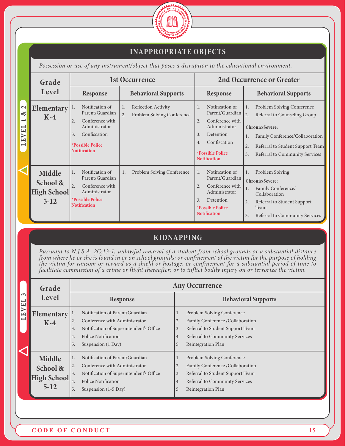

# **INAPPROPRIATE OBJECTS**

*Possession or use of any instrument/object that poses a disruption to the educational environment.*

|                                                                                                  | Grade                                       |                                                                                                                                                                   | 1st Occurrence                                                              |                                                                                                                                                                                      | <b>2nd Occurrence or Greater</b>                                                                                                                                                                                     |
|--------------------------------------------------------------------------------------------------|---------------------------------------------|-------------------------------------------------------------------------------------------------------------------------------------------------------------------|-----------------------------------------------------------------------------|--------------------------------------------------------------------------------------------------------------------------------------------------------------------------------------|----------------------------------------------------------------------------------------------------------------------------------------------------------------------------------------------------------------------|
|                                                                                                  | Level                                       | <b>Response</b>                                                                                                                                                   | <b>Behavioral Supports</b>                                                  | Response                                                                                                                                                                             | <b>Behavioral Supports</b>                                                                                                                                                                                           |
| $\mathbf{\Omega}$<br>$\infty$<br>$\overline{\phantom{0}}$<br>VEL<br>$\overline{\mathbf{H}}$<br>コ | Elementary<br>$K-4$                         | Notification of<br>1.<br>Parent/Guardian<br>Conference with<br>2.<br>Administrator<br>Confiscation<br>3.<br><i><b>*Possible Police</b></i><br><b>Notification</b> | Reflection Activity<br>1.<br>$\overline{2}$ .<br>Problem Solving Conference | Notification of<br>1.<br>Parent/Guardian<br>Conference with<br>2.<br>Administrator<br>Detention<br>3.<br>Confiscation<br>4.<br><i><b>*Possible Police</b></i><br><b>Notification</b> | Problem Solving Conference<br>1.<br>2.<br>Referral to Counseling Group<br>Chronic/Severe:<br>Family Conference/Collaboration<br>1.<br>Referral to Student Support Team<br>2.<br>Referral to Community Services<br>3. |
|                                                                                                  | Middle<br>School &<br>High School<br>$5-12$ | Notification of<br>1.<br>Parent/Guardian<br>2.<br>Conference with<br>Administrator<br><i><b>*Possible Police</b></i><br><b>Notification</b>                       | Problem Solving Conference<br>1.                                            | Notification of<br>1.<br>Parent/Guardian<br>Conference with<br>2.<br>Administrator<br>3.<br>Detention<br><i><b>*Possible Police</b></i><br><b>Notification</b>                       | Problem Solving<br>1.<br>Chronic/Severe:<br>Family Conference/<br>1.<br>Collaboration<br>2.<br>Referral to Student Support<br>Team<br>3.<br><b>Referral to Community Services</b>                                    |

# **KIDNAPPING**

*Pursuant to N.J.S.A. 2C:13-1, unlawful removal of a student from school grounds or a substantial distance from where he or she is found in or on school grounds; or confinement of the victim for the purpose of holding the victim for ransom or reward as a shield or hostage; or confinement for a substantial period of time to facilitate commission of a crime or flight thereafter; or to inflict bodily injury on or terrorize the victim.*

|                                               | Grade                                              | <b>Any Occurrence</b>                                                                                                                                                                                     |                                                                                                                                                                                           |  |  |  |
|-----------------------------------------------|----------------------------------------------------|-----------------------------------------------------------------------------------------------------------------------------------------------------------------------------------------------------------|-------------------------------------------------------------------------------------------------------------------------------------------------------------------------------------------|--|--|--|
| $\sim$<br>$\mathbf{\mathord{\text{--}}}$<br>Е | Level                                              | Response                                                                                                                                                                                                  | <b>Behavioral Supports</b>                                                                                                                                                                |  |  |  |
| $\triangleright$<br>LE                        | <b>Elementary</b><br>$K-4$                         | Notification of Parent/Guardian<br>1.<br>Conference with Administrator<br>2.<br>Notification of Superintendent's Office<br>3.<br><b>Police Notification</b><br>4.<br>Suspension (1 Day)<br>5.             | Problem Solving Conference<br>1.<br>Family Conference / Collaboration<br>2.<br>Referral to Student Support Team<br>3.<br>Referral to Community Services<br>4.<br>5.<br>Reintegration Plan |  |  |  |
|                                               | Middle<br>School &<br><b>High School</b><br>$5-12$ | Notification of Parent/Guardian<br>1.<br>Conference with Administrator<br>2.<br>Notification of Superintendent's Office<br>3.<br><b>Police Notification</b><br>4.<br>Suspension $(1-5 \text{ Day})$<br>5. | Problem Solving Conference<br>1.<br>Family Conference /Collaboration<br>2.<br>3.<br>Referral to Student Support Team<br>Referral to Community Services<br>4.<br>5.<br>Reintegration Plan  |  |  |  |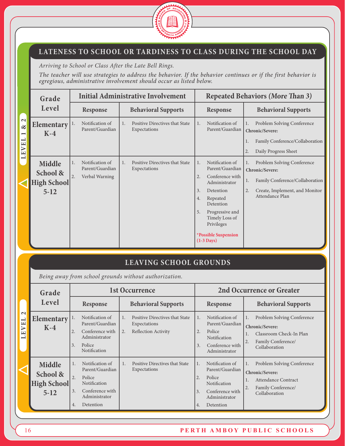

# **LATENESS TO SCHOOL OR TARDINESS TO CLASS DURING THE SCHOOL DAY**

*Arriving to School or Class After the Late Bell Rings.*

*The teacher will use strategies to address the behavior. If the behavior continues or if the first behavior is egregious, administrative involvement should occur as listed below.*

|                                                                     | Grade                                                       |                                                                                    | <b>Initial Administrative Involvement</b>                                         |                                                                                                                                                                                                                                                                 | <b>Repeated Behaviors (More Than 3)</b>                                                                                                                 |
|---------------------------------------------------------------------|-------------------------------------------------------------|------------------------------------------------------------------------------------|-----------------------------------------------------------------------------------|-----------------------------------------------------------------------------------------------------------------------------------------------------------------------------------------------------------------------------------------------------------------|---------------------------------------------------------------------------------------------------------------------------------------------------------|
|                                                                     | Level                                                       | Response                                                                           | <b>Behavioral Supports</b>                                                        | Response                                                                                                                                                                                                                                                        | <b>Behavioral Supports</b>                                                                                                                              |
| $\mathbf{\Omega}$<br>$\propto$<br>$\overline{\phantom{0}}$<br>LEVEL | <b>Elementary</b><br>$K-4$                                  | Notification of<br>1.<br>Parent/Guardian                                           | Positive Directives that State<br>1 <sub>1</sub><br>Expectations                  | Notification of<br>1.<br>Parent/Guardian                                                                                                                                                                                                                        | Problem Solving Conference<br>1.<br>Chronic/Severe:<br>Family Conference/Collaboration<br>1.<br>Daily Progress Sheet<br>2.                              |
|                                                                     | <b>Middle</b><br>School &<br><b>High School</b><br>$5 - 12$ | Notification of<br>1.<br>Parent/Guardian<br>2.<br>Verbal Warning                   | Positive Directives that State<br>1.<br>Expectations                              | Notification of<br>$\mathbf{1}$ .<br>Parent/Guardian<br>Conference with<br>2.<br>Administrator<br>Detention<br>3.<br>Repeated<br>4.<br>Detention<br>Progressive and<br>5.<br>Timely Loss of<br>Privileges<br><i><b>*Possible Suspension</b></i><br>$(1-3$ Days) | Problem Solving Conference<br>1.<br>Chronic/Severe:<br>Family Conference/Collaboration<br>1.<br>2.<br>Create, Implement, and Monitor<br>Attendance Plan |
|                                                                     |                                                             |                                                                                    | <b>LEAVING SCHOOL GROUNDS</b>                                                     |                                                                                                                                                                                                                                                                 |                                                                                                                                                         |
|                                                                     |                                                             |                                                                                    | Being away from school grounds without authorization.                             |                                                                                                                                                                                                                                                                 |                                                                                                                                                         |
|                                                                     | Grade                                                       |                                                                                    | <b>1st Occurrence</b>                                                             |                                                                                                                                                                                                                                                                 | <b>2nd Occurrence or Greater</b>                                                                                                                        |
|                                                                     | Level                                                       | Response                                                                           | <b>Behavioral Supports</b>                                                        | Response                                                                                                                                                                                                                                                        | <b>Behavioral Supports</b>                                                                                                                              |
| $\mathbf{\Omega}$<br><b>EVEL</b><br>$\overline{\phantom{0}}$        | <b>Elementary</b><br>$K-4$                                  | Notification of<br>1.<br>Parent/Guardian<br>2.<br>Conference with<br>Administrator | Positive Directives that State<br>1.<br>Expectations<br>Reflection Activity<br>2. | Notification of<br>1.<br>Parent/Guardian<br>Police<br>2.<br><b>Notification</b>                                                                                                                                                                                 | Problem Solving Conference<br>1.<br>Chronic/Severe:<br>Classroom Check-In Plan<br>1.                                                                    |

# **LEAVING SCHOOL GROUNDS**

|                                                                    | Grade                                                |                                                                                                                                                     | 1st Occurrence                                                                                                       | <b>2nd Occurrence or Greater</b>                                                                                                                                                                                                                                        |
|--------------------------------------------------------------------|------------------------------------------------------|-----------------------------------------------------------------------------------------------------------------------------------------------------|----------------------------------------------------------------------------------------------------------------------|-------------------------------------------------------------------------------------------------------------------------------------------------------------------------------------------------------------------------------------------------------------------------|
|                                                                    | Level                                                | <b>Response</b>                                                                                                                                     | <b>Behavioral Supports</b>                                                                                           | <b>Behavioral Supports</b><br>Response                                                                                                                                                                                                                                  |
| $\mathbf{\sim}$<br>$\overline{\phantom{0}}$<br>VE.<br>$\mathbf{L}$ | <b>Elementary</b><br>$K-4$                           | Notification of<br>1.<br>Parent/Guardian<br>Conference with<br>2.<br>Administrator<br>Police<br>3.<br>Notification                                  | Positive Directives that State<br>$\overline{1}$ .<br>Expectations<br><b>Reflection Activity</b><br>$\overline{2}$ . | Notification of<br>Problem Solving Conference<br>$\mathbf{1}$ .<br>Parent/Guardian<br>Chronic/Severe:<br>Police<br>2.<br>Classroom Check-In Plan<br><b>Notification</b><br>Family Conference/<br>2.<br>Conference with<br>3.<br>Collaboration<br>Administrator          |
|                                                                    | <b>Middle</b><br>School &<br>High School<br>$5 - 12$ | Notification of<br>1.<br>Parent/Guardian<br>$\overline{2}$ .<br>Police<br>Notification<br>Conference with<br>3.<br>Administrator<br>Detention<br>4. | <b>Positive Directives that State</b><br>1.<br>Expectations                                                          | Notification of<br>Problem Solving Conference<br>1.<br>1.<br>Parent/Guardian<br>Chronic/Severe:<br>Police<br>2.<br><b>Attendance Contract</b><br>Notification<br>Family Conference/<br>2.<br>Conference with<br>3.<br>Collaboration<br>Administrator<br>Detention<br>4. |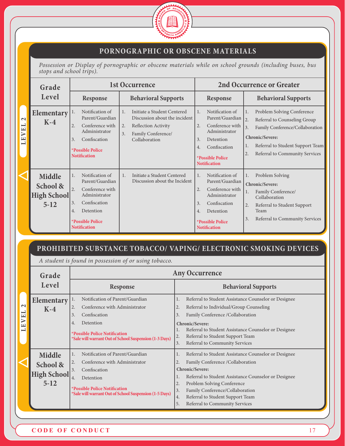

#### **PORNOGRAPHIC OR OBSCENE MATERIALS**

*Possession or Display of pornographic or obscene materials while on school grounds (including buses, bus stops and school trips).*

|                                                                                                              | Grade                                       |                                                                                                                                                                                      | 1st Occurrence                                                                                                                                      |                                                                                                                                                                                      | <b>2nd Occurrence or Greater</b>                                                                                                                                                                                                                 |
|--------------------------------------------------------------------------------------------------------------|---------------------------------------------|--------------------------------------------------------------------------------------------------------------------------------------------------------------------------------------|-----------------------------------------------------------------------------------------------------------------------------------------------------|--------------------------------------------------------------------------------------------------------------------------------------------------------------------------------------|--------------------------------------------------------------------------------------------------------------------------------------------------------------------------------------------------------------------------------------------------|
|                                                                                                              | Level                                       | <b>Response</b>                                                                                                                                                                      | <b>Behavioral Supports</b>                                                                                                                          | Response                                                                                                                                                                             | <b>Behavioral Supports</b>                                                                                                                                                                                                                       |
| $\mathbf{\Omega}$<br>$\overline{\phantom{0}}$<br>$\overline{\mathbf{H}}$<br>$\triangleright$<br>$\mathbf{H}$ | Elementary<br>$K-4$                         | Notification of<br>1.<br>Parent/Guardian<br>Conference with<br>2.<br>Administrator<br>Confiscation<br>3.<br><b>*Possible Police</b><br><b>Notification</b>                           | Initiate a Student Centered<br>1.<br>Discussion about the incident<br>2.<br><b>Reflection Activity</b><br>Family Conference/<br>3.<br>Collaboration | Notification of<br>1.<br>Parent/Guardian<br>Conference with<br>2.<br>Administrator<br>Detention<br>3.<br>Confiscation<br>4.<br><i><b>*Possible Police</b></i><br><b>Notification</b> | Problem Solving Conference<br>1.<br>$\overline{2}$ .<br>Referral to Counseling Group<br>3.<br>Family Conference/Collaboration<br>Chronic/Severe:<br>Referral to Student Support Team<br>1.<br>$\overline{2}$ .<br>Referral to Community Services |
|                                                                                                              | Middle<br>School &<br>High School<br>$5-12$ | Notification of<br>1.<br>Parent/Guardian<br>$\overline{2}$ .<br>Conference with<br>Administrator<br>Confiscation<br>3.<br>Detention<br>4.<br>*Possible Police<br><b>Notification</b> | Initiate a Student Centered<br>1.<br>Discussion about the Incident                                                                                  | Notification of<br>1.<br>Parent/Guardian<br>Conference with<br>2.<br>Administrator<br>Confiscation<br>3.<br>Detention<br>4.<br><i><b>*Possible Police</b></i><br><b>Notification</b> | Problem Solving<br>1.<br>Chronic/Severe:<br>Family Conference/<br>1.<br>Collaboration<br>2.<br>Referral to Student Support<br>Team<br>Referral to Community Services<br>3.                                                                       |

#### **PROHIBITED SUBSTANCE TOBACCO/ VAPING/ ELECTRONIC SMOKING DEVICES**

*A student is found in possession of or using tobacco.*

|                                                                                                      | Grade                                              |                                                                                                                                                                                                                                | <b>Any Occurrence</b>                                                                                                                                                                                                                                                                                                                           |
|------------------------------------------------------------------------------------------------------|----------------------------------------------------|--------------------------------------------------------------------------------------------------------------------------------------------------------------------------------------------------------------------------------|-------------------------------------------------------------------------------------------------------------------------------------------------------------------------------------------------------------------------------------------------------------------------------------------------------------------------------------------------|
|                                                                                                      | Level                                              | Response                                                                                                                                                                                                                       | <b>Behavioral Supports</b>                                                                                                                                                                                                                                                                                                                      |
| $\mathbf{\sim}$<br>$\overline{\phantom{0}}$<br>$\mathbf{E}$<br>$\triangleright$<br>$\mathbf{r}$<br>一 | Elementary<br>$K-4$                                | Notification of Parent/Guardian<br>I.<br>Conference with Administrator<br>2.<br>Confiscation<br>3.<br>Detention<br>4.<br><i><b>*Possible Police Notification</b></i><br>*Sale will warrant Out of School Suspension (1-3 Days) | Referral to Student Assistance Counselor or Designee<br>1.<br>Referral to Individual/Group Counseling<br>2.<br>Family Conference /Collaboration<br>3.<br>Chronic/Severe:<br>Referral to Student Assistance Counselor or Designee<br>Referral to Student Support Team<br>2.<br>Referral to Community Services<br>3.                              |
|                                                                                                      | Middle<br>School &<br><b>High School</b><br>$5-12$ | Notification of Parent/Guardian<br>1.<br>Conference with Administrator<br>2.<br>Confiscation<br>3.<br>Detention<br>4.<br><i><b>*Possible Police Notification</b></i><br>*Sale will warrant Out of School Suspension (1-5 Days) | Referral to Student Assistance Counselor or Designee<br>Family Conference /Collaboration<br>2.<br>Chronic/Severe:<br>Referral to Student Assistance Counselor or Designee<br>1.<br>Problem Solving Conference<br>2.<br>Family Conference/Collaboration<br>3.<br>Referral to Student Support Team<br> 4.<br>5.<br>Referral to Community Services |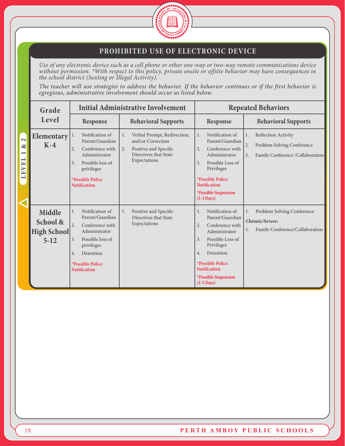

#### **PROHIBITED USE OF ELECTRONIC DEVICE**

*Use of any electronic device such as a cell phone or other one-way or two-way remote communications device without permission. \*With respect to this policy, private onsite or offsite behavior may have consequences in the school district (Sexting or Illegal Activity).*

*The teacher will use strategies to address the behavior. If the behavior continues or if the first behavior is egregious, administrative involvement should occur as listed below.*

|                                                                                                               | Grade                                                     |                                                                                                                                                                                                        | <b>Initial Administrative Involvement</b>                                                                                      |                                                                                                                                                                                                                                                              | <b>Repeated Behaviors</b>                                                                                      |
|---------------------------------------------------------------------------------------------------------------|-----------------------------------------------------------|--------------------------------------------------------------------------------------------------------------------------------------------------------------------------------------------------------|--------------------------------------------------------------------------------------------------------------------------------|--------------------------------------------------------------------------------------------------------------------------------------------------------------------------------------------------------------------------------------------------------------|----------------------------------------------------------------------------------------------------------------|
|                                                                                                               | Level                                                     | Response                                                                                                                                                                                               | <b>Behavioral Supports</b>                                                                                                     | Response                                                                                                                                                                                                                                                     | <b>Behavioral Supports</b>                                                                                     |
| $\overline{\mathbf{C}}$<br>ళ<br>$\overline{\phantom{0}}$<br>$\overline{\phantom{0}}$<br>VE.<br>$LL^{\dagger}$ | Elementary<br>$K-4$                                       | Notification of<br>1.<br>Parent/Guardian<br>2.<br>Conference with<br>Administrator<br>Possible loss of<br>3.<br>privileges<br>*Possible Police<br><b>Notification</b>                                  | Verbal Prompt, Redirection,<br>1.<br>and/or Correction<br>2.<br>Positive and Specific<br>Directives that State<br>Expectations | Notification of<br>1.<br>Parent/Guardian<br>Conference with<br>2.<br>Administrator<br>Possible Loss of<br>3.<br>Privileges<br><i><b>*Possible Police</b></i><br><b>Notification</b><br>*Possible Suspension<br>$(1-3 \text{ Days})$                          | <b>Reflection Activity</b><br>1.<br>Problem Solving Conference<br>2.<br>Family Conference /Collaboration<br>3. |
|                                                                                                               | <b>Middle</b><br>School &<br><b>High School</b><br>$5-12$ | Notification of<br>1.<br>Parent/Guardian<br>Conference with<br>2.<br>Administrator<br>Possible loss of<br>3.<br>privileges<br>Detention<br>4.<br><i><b>*Possible Police</b></i><br><b>Notification</b> | Positive and Specific<br>1.<br>Directives that State<br>Expectations                                                           | Notification of<br>1.<br>Parent/Guardian<br>Conference with<br>2.<br>Administrator<br>Possible Loss of<br>$\overline{3}$ .<br>Privileges<br>Detention<br>4.<br>*Possible Police<br><b>Notification</b><br><i><b>*Possible Suspension</b></i><br>$(1-5$ Days) | Problem Solving Conference<br>1.<br>Chronic/Severe:<br>Family Conference/Collaboration                         |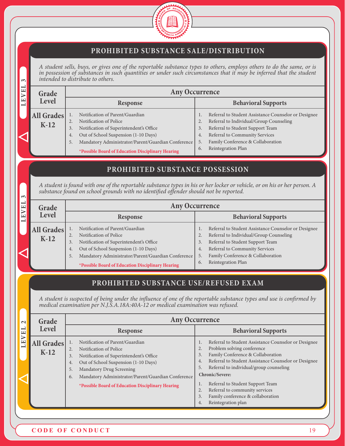

#### **PROHIBITED SUBSTANCE SALE/DISTRIBUTION**

*A student sells, buys, or gives one of the reportable substance types to others, employs others to do the same, or is in possession of substances in such quantities or under such circumstances that it may be inferred that the student intended to distribute to others.* 

| Grade                | <b>Any Occurrence</b>                                                                                                                                                                                                                                                     |                                                                                                                                                                                                                                                                |  |  |  |  |
|----------------------|---------------------------------------------------------------------------------------------------------------------------------------------------------------------------------------------------------------------------------------------------------------------------|----------------------------------------------------------------------------------------------------------------------------------------------------------------------------------------------------------------------------------------------------------------|--|--|--|--|
| Level                | Response                                                                                                                                                                                                                                                                  | <b>Behavioral Supports</b>                                                                                                                                                                                                                                     |  |  |  |  |
| All Grades<br>$K-12$ | Notification of Parent/Guardian<br>Notification of Police<br>Notification of Superintendent's Office<br>3.<br>Out of School Suspension (1-10 Days)<br>4.<br>Mandatory Administrator/Parent/Guardian Conference<br>5.<br>*Possible Board of Education Disciplinary Hearing | Referral to Student Assistance Counselor or Designee<br>Referral to Individual/Group Counseling<br>2.<br>Referral to Student Support Team<br>3.<br>Referral to Community Services<br>4.<br>Family Conference & Collaboration<br>5.<br>Reintegration Plan<br>6. |  |  |  |  |

#### **PROHIBITED SUBSTANCE POSSESSION**

*A student is found with one of the reportable substance types in his or her locker or vehicle, or on his or her person. A substance found on school grounds with no identified offender should not be reported.* 

| ന⊥   |                   |                       |                                                    |    |                                                      |
|------|-------------------|-----------------------|----------------------------------------------------|----|------------------------------------------------------|
| EVEL | Grade             | <b>Any Occurrence</b> |                                                    |    |                                                      |
|      | Level             |                       | <b>Response</b>                                    |    | <b>Behavioral Supports</b>                           |
|      | <b>All Grades</b> |                       | Notification of Parent/Guardian                    |    | Referral to Student Assistance Counselor or Designee |
|      | $K-12$            |                       | Notification of Police                             | 2. | Referral to Individual/Group Counseling              |
|      |                   | 3.                    | Notification of Superintendent's Office            | 3. | Referral to Student Support Team                     |
|      |                   | 4.                    | Out of School Suspension (1-10 Days)               | 4. | Referral to Community Services                       |
|      |                   | 5.                    | Mandatory Administrator/Parent/Guardian Conference | 5. | Family Conference & Collaboration                    |
|      |                   |                       | *Possible Board of Education Disciplinary Hearing  | 6. | Reintegration Plan                                   |

# **PROHIBITED SUBSTANCE USE/REFUSED EXAM**

*A student is suspected of being under the influence of one of the reportable substance types and use is confirmed by medical examination per N.J.S.A.18A:40A-12 or medical examination was refused.*

| $\sim$                 | Grade                |                                                                                                                                                                                                                                                                                                                          | <b>Any Occurrence</b>                                                                                                                                                                                                                                                                                                                                                                                                                |
|------------------------|----------------------|--------------------------------------------------------------------------------------------------------------------------------------------------------------------------------------------------------------------------------------------------------------------------------------------------------------------------|--------------------------------------------------------------------------------------------------------------------------------------------------------------------------------------------------------------------------------------------------------------------------------------------------------------------------------------------------------------------------------------------------------------------------------------|
| −<br>$\mathbf{L}$      | Level                | Response                                                                                                                                                                                                                                                                                                                 | <b>Behavioral Supports</b>                                                                                                                                                                                                                                                                                                                                                                                                           |
| $\triangleright$<br>EL | All Grades<br>$K-12$ | Notification of Parent/Guardian<br>Notification of Police<br>2.<br>Notification of Superintendent's Office<br>3.<br>Out of School Suspension (1-10 Days)<br>4.<br><b>Mandatory Drug Screening</b><br>5.<br>Mandatory Administrator/Parent/Guardian Conference<br>6.<br>*Possible Board of Education Disciplinary Hearing | Referral to Student Assistance Counselor or Designee<br>1.<br>Problem solving conference<br>2.<br>Family Conference & Collaboration<br>3.<br>Referral to Student Assistance Counselor or Designee<br>4.<br>Referral to individual/group counseling<br>5.<br>Chronic/Severe:<br>Referral to Student Support Team<br>1.<br>Referral to community services<br>2.<br>Family conference & collaboration<br>3.<br>Reintegration plan<br>4. |

LEVEL 3 **LEVEL 3**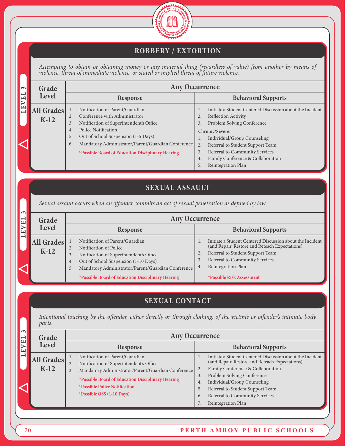

# **ROBBERY / EXTORTION**

*Attempting to obtain or obtaining money or any material thing (regardless of value) from another by means of violence, threat of immediate violence, or stated or implied threat of future violence.*

| $\sim$                                 | Grade                |                                                                                                                                                                                                                                                                                                                                         | <b>Any Occurrence</b>                                                                                                                                                                                                                                                                                            |
|----------------------------------------|----------------------|-----------------------------------------------------------------------------------------------------------------------------------------------------------------------------------------------------------------------------------------------------------------------------------------------------------------------------------------|------------------------------------------------------------------------------------------------------------------------------------------------------------------------------------------------------------------------------------------------------------------------------------------------------------------|
| $\mathbf \mu$<br>$\boxed{\phantom{1}}$ | <b>Level</b>         | Response                                                                                                                                                                                                                                                                                                                                | <b>Behavioral Supports</b>                                                                                                                                                                                                                                                                                       |
| ⋗<br>щ                                 | All Grades<br>$K-12$ | Notification of Parent/Guardian<br>$\lnot$ 1.<br>Conference with Administrator<br>2.<br>Notification of Superintendent's Office<br>3.<br><b>Police Notification</b><br>4.<br>Out of School Suspension (1-5 Days)<br>5.<br>Mandatory Administrator/Parent/Guardian Conference<br>6.<br>*Possible Board of Education Disciplinary Hearing | Initiate a Student Centered Discussion about the Incident<br><b>Reflection Activity</b><br>2.<br>Problem Solving Conference<br>3.<br>Chronic/Severe:<br>Individual/Group Counseling<br>Referral to Student Support Team<br>2.<br>Referral to Community Services<br>3.<br>Family Conference & Collaboration<br>4. |
|                                        |                      |                                                                                                                                                                                                                                                                                                                                         | 5.<br>Reintegration Plan                                                                                                                                                                                                                                                                                         |

# **SEXUAL ASSAULT**

*Sexual assault occurs when an offender commits an act of sexual penetration as defined by law.*

| $\sim$                   | Grade                |                                                                                                                                                                                                                            | <b>Any Occurrence</b>                                                                                                                                                                                               |  |  |
|--------------------------|----------------------|----------------------------------------------------------------------------------------------------------------------------------------------------------------------------------------------------------------------------|---------------------------------------------------------------------------------------------------------------------------------------------------------------------------------------------------------------------|--|--|
| EVEL                     | Level                | <b>Response</b>                                                                                                                                                                                                            | <b>Behavioral Supports</b>                                                                                                                                                                                          |  |  |
| $\overline{\phantom{0}}$ | All Grades<br>$K-12$ | Notification of Parent/Guardian<br>Notification of Police<br>2.<br>Notification of Superintendent's Office<br>3.<br>Out of School Suspension (1-10 Days)<br>4.<br>Mandatory Administrator/Parent/Guardian Conference<br>5. | Initiate a Student Centered Discussion about the Incident<br>(and Repair, Restore and Reteach Expectations)<br>Referral to Student Support Team<br>Referral to Community Services<br>3.<br>Reintegration Plan<br>4. |  |  |
|                          |                      | *Possible Board of Education Disciplinary Hearing                                                                                                                                                                          | <b>*Possible Risk Assessment</b>                                                                                                                                                                                    |  |  |

# **SEXUAL CONTACT**

*Intentional touching by the offender, either directly or through clothing, of the victim's or offender's intimate body parts.*

| ന⊫<br>E <sub>L</sub>             | Grade                       | <b>Any Occurrence</b>                                                                                                                                                                                                                                                                       |                                                                                                                                                                                                                                                                                                                                               |  |  |  |  |
|----------------------------------|-----------------------------|---------------------------------------------------------------------------------------------------------------------------------------------------------------------------------------------------------------------------------------------------------------------------------------------|-----------------------------------------------------------------------------------------------------------------------------------------------------------------------------------------------------------------------------------------------------------------------------------------------------------------------------------------------|--|--|--|--|
| $\triangleright$<br>$\mathbf{L}$ | <b>Level</b>                | Response                                                                                                                                                                                                                                                                                    | <b>Behavioral Supports</b>                                                                                                                                                                                                                                                                                                                    |  |  |  |  |
| $\overline{\phantom{0}}$         | <b>All Grades</b><br>$K-12$ | Notification of Parent/Guardian<br>Notification of Superintendent's Office<br>2.<br>Mandatory Administrator/Parent/Guardian Conference<br>3.<br>*Possible Board of Education Disciplinary Hearing<br><i><b>*Possible Police Notification</b></i><br><i><b>*Possible OSS (1-10 Days)</b></i> | Initiate a Student Centered Discussion about the Incident<br>(and Repair, Restore and Reteach Expectations)<br>Family Conference & Collaboration<br>2.<br>Problem Solving Conference<br>3.<br>Individual/Group Counseling<br>4.<br>Referral to Student Support Team<br>5.<br>Referral to Community Services<br>6.<br>Reintegration Plan<br>7. |  |  |  |  |

#### 20 **PERTH AMBOY PUBLIC SCHOOLS**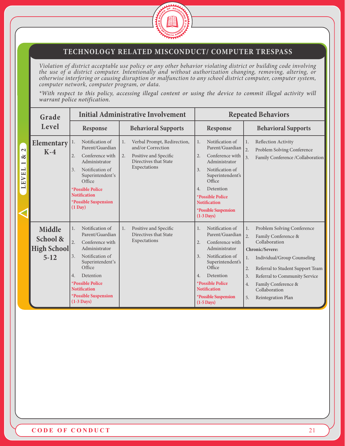

#### **TECHNOLOGY RELATED MISCONDUCT/ COMPUTER TRESPASS**

*Violation of district acceptable use policy or any other behavior violating district or building code involving the use of a district computer. Intentionally and without authorization changing, removing, altering, or otherwise interfering or causing disruption or malfunction to any school district computer, computer system, computer network, computer program, or data.*

*\*With respect to this policy, accessing illegal content or using the device to commit illegal activity will warrant police notification.*

|                                                                                          | Grade                                              |                                                                                                                                                                                                                                                                                            | <b>Initial Administrative Involvement</b>                                                                                      |                                                                                                                                                                                                                                                                                     | <b>Repeated Behaviors</b>                                                                                                                                                                                                                                                                         |
|------------------------------------------------------------------------------------------|----------------------------------------------------|--------------------------------------------------------------------------------------------------------------------------------------------------------------------------------------------------------------------------------------------------------------------------------------------|--------------------------------------------------------------------------------------------------------------------------------|-------------------------------------------------------------------------------------------------------------------------------------------------------------------------------------------------------------------------------------------------------------------------------------|---------------------------------------------------------------------------------------------------------------------------------------------------------------------------------------------------------------------------------------------------------------------------------------------------|
|                                                                                          | Level                                              | <b>Response</b>                                                                                                                                                                                                                                                                            | <b>Behavioral Supports</b>                                                                                                     | Response                                                                                                                                                                                                                                                                            | <b>Behavioral Supports</b>                                                                                                                                                                                                                                                                        |
| $\mathbf{z}$<br>ళ<br>$\overline{\phantom{0}}$<br>$\overline{\phantom{0}}$<br><b>LEVE</b> | <b>Elementary</b><br>$K-4$                         | Notification of<br>1.<br>Parent/Guardian<br>2.<br>Conference with<br>Administrator<br>3.<br>Notification of<br>Superintendent's<br>Office<br>*Possible Police<br><b>Notification</b><br>*Possible Suspension<br>$(1 \text{ Day})$                                                          | 1.<br>Verbal Prompt, Redirection,<br>and/or Correction<br>Positive and Specific<br>2.<br>Directives that State<br>Expectations | Notification of<br>1.<br>Parent/Guardian<br>Conference with<br>2.<br>Administrator<br>3.<br>Notification of<br>Superintendent's<br>Office<br>Detention<br>4.<br><i><b>*Possible Police</b></i><br><b>Notification</b><br><i><b>*Possible Suspension</b></i><br>$(1-3$ Days)         | <b>Reflection Activity</b><br>1.<br>2.<br>Problem Solving Conference<br>3.<br>Family Conference /Collaboration                                                                                                                                                                                    |
|                                                                                          | Middle<br>School &<br><b>High School</b><br>$5-12$ | Notification of<br>1.<br>Parent/Guardian<br>$\overline{2}$ .<br>Conference with<br>Administrator<br>Notification of<br>3 <sub>1</sub><br>Superintendent's<br>Office<br>Detention<br>$4_{\cdot}$<br>*Possible Police<br><b>Notification</b><br>*Possible Suspension<br>$(1-3 \text{ Days})$ | Positive and Specific<br>1.<br>Directives that State<br>Expectations                                                           | Notification of<br>1.<br>Parent/Guardian<br>Conference with<br>2.<br>Administrator<br>Notification of<br>3.<br>Superintendent's<br>Office<br>Detention<br>4.<br><i><b>*Possible Police</b></i><br><b>Notification</b><br><i><b>*Possible Suspension</b></i><br>$(1-5 \text{ Days})$ | Problem Solving Conference<br>1.<br>2.<br>Family Conference &<br>Collaboration<br>Chronic/Severe:<br>Individual/Group Counseling<br>1.<br>2.<br>Referral to Student Support Team<br>Referral to Community Service<br>3.<br>Family Conference &<br>4.<br>Collaboration<br>5.<br>Reintegration Plan |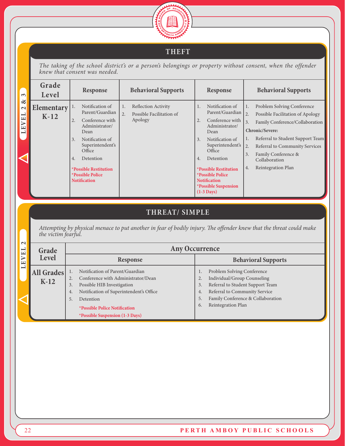

# **THEFT**

*The taking of the school district's or a person's belongings or property without consent, when the offender knew that consent was needed.*

| $\infty$                                                                | Grade<br>Level              |                             | Response                                                                                                                                                                                                                               |          | <b>Behavioral Supports</b>                                        |                      | <b>Response</b>                                                                                                                                                                                                                                                                                             |                                                        | <b>Behavioral Supports</b>                                                                                                                                                                                                                               |
|-------------------------------------------------------------------------|-----------------------------|-----------------------------|----------------------------------------------------------------------------------------------------------------------------------------------------------------------------------------------------------------------------------------|----------|-------------------------------------------------------------------|----------------------|-------------------------------------------------------------------------------------------------------------------------------------------------------------------------------------------------------------------------------------------------------------------------------------------------------------|--------------------------------------------------------|----------------------------------------------------------------------------------------------------------------------------------------------------------------------------------------------------------------------------------------------------------|
| $\propto$<br>$\mathbf{\Omega}$<br>$\overline{\phantom{0}}$<br>VE.<br>LE | <b>Elementary</b><br>$K-12$ | $\perp$ .<br>2.<br>3.<br>4. | Notification of<br>Parent/Guardian<br>Conference with<br>Administrator/<br>Dean<br>Notification of<br>Superintendent's<br>Office<br>Detention<br><b>*Possible Restitution</b><br><i><b>*Possible Police</b></i><br><b>Notification</b> | 1.<br>2. | <b>Reflection Activity</b><br>Possible Facilitation of<br>Apology | 1.<br>2.<br>3.<br>4. | Notification of<br>Parent/Guardian<br>Conference with<br>Administrator/<br>Dean<br>Notification of<br>Superintendent's<br>Office<br>Detention<br><i><b>*Possible Restitution</b></i><br><i><b>*Possible Police</b></i><br><b>Notification</b><br><i><b>*Possible Suspension</b></i><br>$(1-3 \text{ Days})$ | $\overline{2}$ .<br>3.<br>$\overline{2}$ .<br>3.<br>4. | Problem Solving Conference<br>Possible Facilitation of Apology<br>Family Conference/Collaboration<br>Chronic/Severe:<br>Referral to Student Support Team<br>Referral to Community Services<br>Family Conference &<br>Collaboration<br>Reintegration Plan |

# **THREAT/ SIMPLE**

*Attempting by physical menace to put another in fear of bodily injury. The offender knew that the threat could make the victim fearful.*

| $\mathbf{\sim}$<br>EL    | Grade                | <b>Any Occurrence</b>                                                                                                                                                                                                                                                         |                                                                                                                                                                                                                   |  |  |  |  |  |
|--------------------------|----------------------|-------------------------------------------------------------------------------------------------------------------------------------------------------------------------------------------------------------------------------------------------------------------------------|-------------------------------------------------------------------------------------------------------------------------------------------------------------------------------------------------------------------|--|--|--|--|--|
| ➢<br>Е                   | Level                | Response                                                                                                                                                                                                                                                                      | <b>Behavioral Supports</b>                                                                                                                                                                                        |  |  |  |  |  |
| $\overline{\phantom{0}}$ | All Grades<br>$K-12$ | Notification of Parent/Guardian<br>Conference with Administrator/Dean<br>Possible HIB Investigation<br>3.<br>Notification of Superintendent's Office<br>4.<br>5.<br>Detention<br><i><b>*Possible Police Notification</b></i><br><i><b>*Possible Suspension (1-3 Days)</b></i> | Problem Solving Conference<br>Individual/Group Counseling<br>Referral to Student Support Team<br>3.<br>Referral to Community Service<br>4.<br>Family Conference & Collaboration<br>5.<br>Reintegration Plan<br>6. |  |  |  |  |  |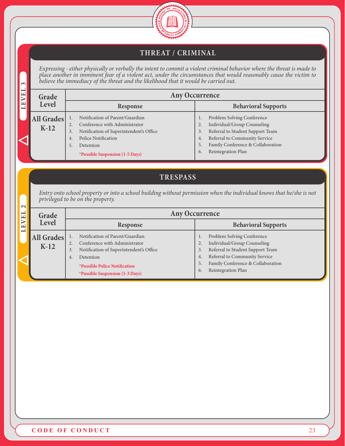

# **THREAT / CRIMINAL**

*Expressing - either physically or verbally the intent to commit a violent criminal behavior where the threat is made to place another in imminent fear of a violent act, under the circumstances that would reasonably cause the victim to believe the immediacy of the threat and the likelihood that it would be carried out.*

| $\sim$<br>o orro re riro riiriirovrrvro je ojeneo viri ovrre vrivve riro rrivorriro ovre rirvrre re in ovrrvre o ovvrre o |                                  |    |                                         |    |                                   |
|---------------------------------------------------------------------------------------------------------------------------|----------------------------------|----|-----------------------------------------|----|-----------------------------------|
| EVEL<br><b>Any Occurrence</b><br>Grade                                                                                    |                                  |    |                                         |    |                                   |
| 言                                                                                                                         | Level                            |    | Response                                |    | <b>Behavioral Supports</b>        |
|                                                                                                                           | All Grades $\vert$ <sup>1.</sup> |    | Notification of Parent/Guardian         |    | Problem Solving Conference        |
|                                                                                                                           | $K-12$                           |    | Conference with Administrator           | 2. | Individual/Group Counseling       |
|                                                                                                                           |                                  | 3. | Notification of Superintendent's Office | 3. | Referral to Student Support Team  |
|                                                                                                                           |                                  | 4. | <b>Police Notification</b>              | 4. | Referral to Community Service     |
|                                                                                                                           |                                  | 5. | Detention                               | 5. | Family Conference & Collaboration |
|                                                                                                                           |                                  |    | *Possible Suspension (1-5 Days)         | 6. | Reintegration Plan                |

# **TRESPASS**

*Entry onto school property or into a school building without permission when the individual knows that he/she is not privileged to be on the property.*

| NI                      |                      |                                                                                                                                                                                                                        |                                                                                                                                                                                                                         |  |  |  |  |
|-------------------------|----------------------|------------------------------------------------------------------------------------------------------------------------------------------------------------------------------------------------------------------------|-------------------------------------------------------------------------------------------------------------------------------------------------------------------------------------------------------------------------|--|--|--|--|
| EL                      | Grade                |                                                                                                                                                                                                                        | <b>Any Occurrence</b>                                                                                                                                                                                                   |  |  |  |  |
| $\overline{\mathbf{r}}$ | Level                | <b>Response</b>                                                                                                                                                                                                        | <b>Behavioral Supports</b>                                                                                                                                                                                              |  |  |  |  |
|                         | All Grades<br>$K-12$ | Notification of Parent/Guardian<br>Conference with Administrator<br>Notification of Superintendent's Office<br>3.<br>Detention<br>4.<br><i><b>*Possible Police Notification</b></i><br>*Possible Suspension (1-3 Days) | Problem Solving Conference<br>Individual/Group Counseling<br>2.<br>Referral to Student Support Team<br>3.<br>Referral to Community Service<br>4.<br>Family Conference & Collaboration<br>5.<br>Reintegration Plan<br>6. |  |  |  |  |

 $\tilde{\mathbf{c}}$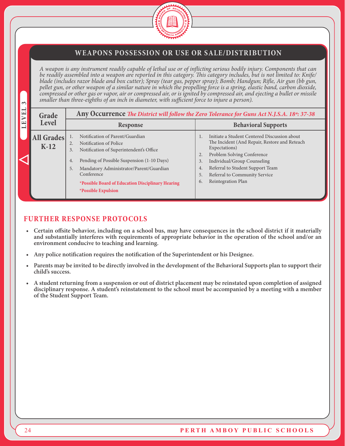

#### **WEAPONS POSSESSION OR USE OR SALE/DISTRIBUTION**

*A weapon is any instrument readily capable of lethal use or of inflicting serious bodily injury. Components that can be readily assembled into a weapon are reported in this category. This category includes, but is not limited to: Knife/ blade (includes razor blade and box cutter); Spray (tear gas, pepper spray); Bomb; Handgun; Rifle, Air gun (bb gun, pellet gun, or other weapon of a similar nature in which the propelling force is a spring, elastic band, carbon dioxide, compressed or other gas or vapor, air or compressed air, or is ignited by compressed air, and ejecting a bullet or missile smaller than three-eighths of an inch in diameter, with sufficient force to injure a person).*

| VEL<br>Grade         |                                                                                                                                                                                                                                                                                                                               | Any Occurrence The District will follow the Zero Tolerance for Guns Act N.J.S.A. 18 <sup>a</sup> : 37-38                                                                                                                                                                                             |
|----------------------|-------------------------------------------------------------------------------------------------------------------------------------------------------------------------------------------------------------------------------------------------------------------------------------------------------------------------------|------------------------------------------------------------------------------------------------------------------------------------------------------------------------------------------------------------------------------------------------------------------------------------------------------|
| Level<br>LE          | <b>Response</b>                                                                                                                                                                                                                                                                                                               | <b>Behavioral Supports</b>                                                                                                                                                                                                                                                                           |
| All Grades<br>$K-12$ | Notification of Parent/Guardian<br>Notification of Police<br>2.<br>Notification of Superintendent's Office<br>3.<br>Pending of Possible Suspension (1-10 Days)<br>4.<br>Mandatory Administrator/Parent/Guardian<br>5.<br>Conference<br>*Possible Board of Education Disciplinary Hearing<br><i><b>*Possible Expulsion</b></i> | Initiate a Student Centered Discussion about<br>The Incident (And Repair, Restore and Reteach<br>Expectations)<br>Problem Solving Conference<br>2.<br>Individual/Group Counseling<br>3.<br>Referral to Student Support Team<br>4.<br>Referral to Community Service<br>5.<br>Reintegration Plan<br>6. |

#### **FURTHER RESPONSE PROTOCOLS**

- **Certain offsite behavior, including on a school bus, may have consequences in the school district if it materially and substantially interferes with requirements of appropriate behavior in the operation of the school and/or an environment conducive to teaching and learning.**
- **Any police notification requires the notification of the Superintendent or his Designee.**
- **Parents may be invited to be directly involved in the development of the Behavioral Supports plan to support their child's success.**
- **• A student returning from a suspension or out of district placement may be reinstated upon completion of assigned disciplinary response. A student's reinstatement to the school must be accompanied by a meeting with a member of the Student Support Team.**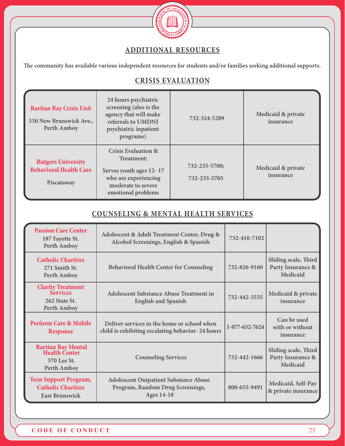

# **ADDITIONAL RESOURCES**

**The community has available various independent resources for students and/or families seeking additional supports.** 

# **CRISIS EVALUATION**

| <b>Raritan Bay Crisis Unit</b><br>530 New Brunswick Ave.,<br>Perth Amboy | 24 hours psychiatric<br>screening (also is the<br>agency that will make<br>referrals to UMDNJ<br>psychiatric inpatient<br>programs)         | 732-324-5289                  | Medicaid & private<br>insurance |
|--------------------------------------------------------------------------|---------------------------------------------------------------------------------------------------------------------------------------------|-------------------------------|---------------------------------|
| <b>Rutgers University</b><br><b>Behavioral Health Care</b><br>Piscataway | <b>Crisis Evaluation &amp;</b><br>Treatment:<br>Serves youth ages 12-17<br>who are experiencing<br>moderate to severe<br>emotional problems | 732-235-5700;<br>732-235-5705 | Medicaid & private<br>insurance |

#### **COUNSELING & MENTAL HEALTH SERVICES**

| <b>Passion Care Center</b><br>187 Fayette St.<br>Perth Amboy                       | Adolescent & Adult Treatment Center, Drug &<br>Alcohol Screenings, English & Spanish                  | 732-410-7102   |                                                       |
|------------------------------------------------------------------------------------|-------------------------------------------------------------------------------------------------------|----------------|-------------------------------------------------------|
| <b>Catholic Charities</b><br>271 Smith St.<br>Perth Amboy                          | <b>Behavioral Health Center for Counseling</b>                                                        | 732-826-9160   | Sliding scale, Third<br>Party Insurance &<br>Medicaid |
| <b>Clarity Treatment</b><br><b>Services</b><br>262 State St.<br>Perth Amboy        | Adolescent Substance Abuse Treatment in<br><b>English and Spanish</b>                                 | 732-442-3535   | Medicaid & private<br>insurance                       |
| <b>Perform Care &amp; Mobile</b><br><b>Response</b>                                | Deliver services in the home or school when<br>child is exhibiting escalating behavior-24 hours       | 1-877-652-7624 | Can be used<br>with or without<br>insurance           |
| <b>Raritan Bay Mental<br/>Health Center</b><br>570 Lee St.<br>Perth Amboy          | <b>Counseling Services</b>                                                                            | 732-442-1666   | Sliding scale, Third<br>Party Insurance &<br>Medicaid |
| <b>Teen Support Program,</b><br><b>Catholic Charities</b><br><b>East Brunswick</b> | <b>Adolescent Outpatient Substance Abuse</b><br>Program, Random Drug Screenings,<br><b>Ages 14-18</b> | 800-655-9491   | Medicaid, Self-Pay<br>& private insurance             |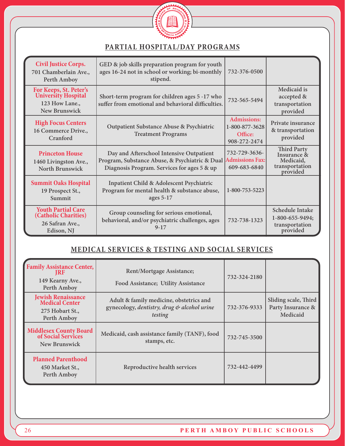

# **PARTIAL HOSPITAL/DAY PROGRAMS**

| <b>Civil Justice Corps.</b><br>701 Chamberlain Ave.,<br>Perth Amboy                | GED & job skills preparation program for youth<br>ages 16-24 not in school or working; bi-monthly<br>stipend.                             | 732-376-0500                                                    |                                                                              |
|------------------------------------------------------------------------------------|-------------------------------------------------------------------------------------------------------------------------------------------|-----------------------------------------------------------------|------------------------------------------------------------------------------|
| For Keeps, St. Peter's<br>University Hospital<br>123 How Lane.,<br>New Brunswick   | Short-term program for children ages 5 -17 who<br>suffer from emotional and behavioral difficulties.                                      | 732-565-5494                                                    | Medicaid is<br>accepted &<br>transportation<br>provided                      |
| <b>High Focus Centers</b><br>16 Commerce Drive.,<br>Cranford                       | Outpatient Substance Abuse & Psychiatric<br><b>Treatment Programs</b>                                                                     | <b>Admissions:</b><br>1-800-877-3628<br>Office:<br>908-272-2474 | Private insurance<br>& transportation<br>provided                            |
| <b>Princeton House</b><br>1460 Livingston Ave.,<br>North Brunswick                 | Day and Afterschool Intensive Outpatient<br>Program, Substance Abuse, & Psychiatric & Dual<br>Diagnosis Program. Services for ages 5 & up | 732-729-3636-<br><b>Admissions Fax:</b><br>609-683-6840         | <b>Third Party</b><br>Insurance &<br>Medicaid,<br>transportation<br>provided |
| <b>Summit Oaks Hospital</b><br>19 Prospect St.,<br>Summit                          | <b>Inpatient Child &amp; Adolescent Psychiatric</b><br>Program for mental health & substance abuse,<br>ages $5-17$                        | 1-800-753-5223                                                  |                                                                              |
| <b>Youth Partial Care</b><br>(Catholic Charities)<br>26 Safran Ave.,<br>Edison, NJ | Group counseling for serious emotional,<br>behavioral, and/or psychiatric challenges, ages<br>$9 - 17$                                    | 732-738-1323                                                    | <b>Schedule Intake</b><br>1-800-655-9494;<br>transportation<br>provided      |

# **MEDICAL SERVICES & TESTING AND SOCIAL SERVICES**

| <b>Family Assistance Center,</b><br>IRF<br>149 Kearny Ave.,<br>Perth Amboy     | Rent/Mortgage Assistance;<br>Food Assistance; Utility Assistance                                  | 732-324-2180 |                                                       |
|--------------------------------------------------------------------------------|---------------------------------------------------------------------------------------------------|--------------|-------------------------------------------------------|
| <b>Jewish Renaissance<br/>Medical Center</b><br>275 Hobart St.,<br>Perth Amboy | Adult & family medicine, obstetrics and<br>gynecology, dentistry, drug & alcohol urine<br>testing | 732-376-9333 | Sliding scale, Third<br>Party Insurance &<br>Medicaid |
| <b>Middlesex County Board<br/>of Social Services</b><br>New Brunswick          | Medicaid, cash assistance family (TANF), food<br>stamps, etc.                                     | 732-745-3500 |                                                       |
| <b>Planned Parenthood</b><br>450 Market St.,<br>Perth Amboy                    | Reproductive health services                                                                      | 732-442-4499 |                                                       |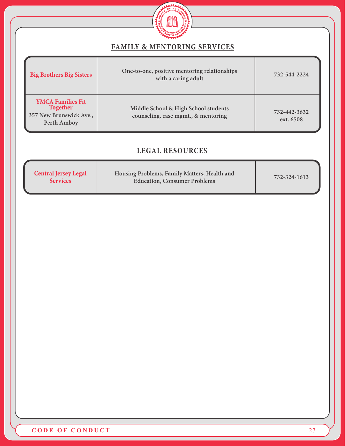

### **FAMILY & MENTORING SERVICES**

| <b>Big Brothers Big Sisters</b>                                                       | One-to-one, positive mentoring relationships<br>with a caring adult         | 732-544-2224              |
|---------------------------------------------------------------------------------------|-----------------------------------------------------------------------------|---------------------------|
| <b>YMCA Families Fit</b><br><b>Together</b><br>357 New Brunswick Ave.,<br>Perth Amboy | Middle School & High School students<br>counseling, case mgmt., & mentoring | 732-442-3632<br>ext. 6508 |

# **LEGAL RESOURCES**

| <b>Central Jersey Legal</b><br><b>Services</b> | Housing Problems, Family Matters, Health and<br><b>Education, Consumer Problems</b> | 732-324-1613 |
|------------------------------------------------|-------------------------------------------------------------------------------------|--------------|
|------------------------------------------------|-------------------------------------------------------------------------------------|--------------|